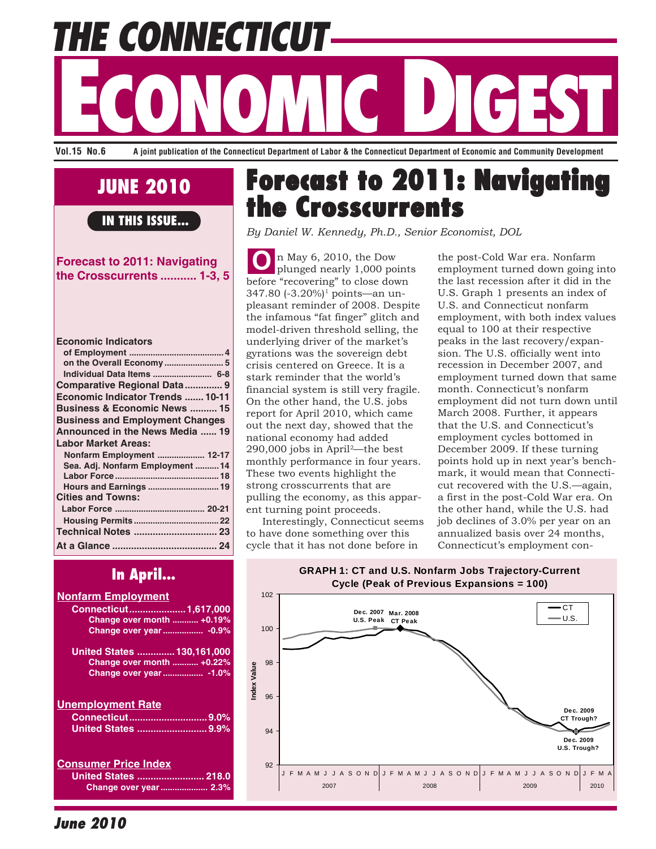**THE CONNECTICUT ECONOMIC DES DE CONOMIC DE CONOMIC DE CONOMIC DE CONOMIC DE CONOMIC DE CONOMIC DE CONOMIC DE CONOMIC DE CONOMIC DE CONOMIC DE CONOMIC DE CONOMIC DE CONOMIC DE CONOMIC DE CONOMIC DE CONOMIC DE CONOMIC DE CONOMIC DE CONOMIC** 

**Vol.15 No.6 A joint publication of the Connecticut Department of Labor & the Connecticut Department of Economic and Community Development**

# **JUNE 2010**

**IN THIS ISSUE...**

## **Forecast to 2011: Navigating the Crosscurrents ........... 1-3, 5**

| <b>Economic Indicators</b>              |
|-----------------------------------------|
|                                         |
|                                         |
| Individual Data Items  6-8              |
| Comparative Regional Data 9             |
| Economic Indicator Trends  10-11        |
| <b>Business &amp; Economic News  15</b> |
| <b>Business and Employment Changes</b>  |
| Announced in the News Media  19         |
| <b>Labor Market Areas:</b>              |
| Nonfarm Employment  12-17               |
| Sea. Adj. Nonfarm Employment 14         |
|                                         |
| Hours and Earnings  19                  |
| <b>Cities and Towns:</b>                |
|                                         |
|                                         |
| Technical Notes  23                     |
|                                         |
|                                         |

# **In April...**

## **Nonfarm Employment Connecticut.....................1,617,000 Change over month ........... +0.19% Change over year................. -0.9% United States ..............130,161,000 Change over month ........... +0.22% Change over year................. -1.0% Unemployment Rate Connecticut.............................9.0% United States ..........................9.9% Consumer Price Index United States ......................... 218.0 Change over year.................... 2.3%**

# **Forecast to 2011: Navigating Forecast to 2011: Navigating the Crosscurrents the Crosscurrents**

*By Daniel W. Kennedy, Ph.D., Senior Economist, DOL*

**O** n May 6, 2010, the Dow plunged nearly 1,000 points before "recovering" to close down 347.80 (-3.20%)<sup>1</sup> points—an unpleasant reminder of 2008. Despite the infamous "fat finger" glitch and model-driven threshold selling, the underlying driver of the market's gyrations was the sovereign debt crisis centered on Greece. It is a stark reminder that the world's financial system is still very fragile. On the other hand, the U.S. jobs report for April 2010, which came out the next day, showed that the national economy had added 290,000 jobs in April2—the best monthly performance in four years. These two events highlight the strong crosscurrents that are pulling the economy, as this apparent turning point proceeds.

 Interestingly, Connecticut seems to have done something over this cycle that it has not done before in

the post-Cold War era. Nonfarm employment turned down going into the last recession after it did in the U.S. Graph 1 presents an index of U.S. and Connecticut nonfarm employment, with both index values equal to 100 at their respective peaks in the last recovery/expansion. The U.S. officially went into recession in December 2007, and employment turned down that same month. Connecticut's nonfarm employment did not turn down until March 2008. Further, it appears that the U.S. and Connecticut's employment cycles bottomed in December 2009. If these turning points hold up in next year's benchmark, it would mean that Connecticut recovered with the U.S.—again, a first in the post-Cold War era. On the other hand, while the U.S. had job declines of 3.0% per year on an annualized basis over 24 months, Connecticut's employment con-



**June 2010**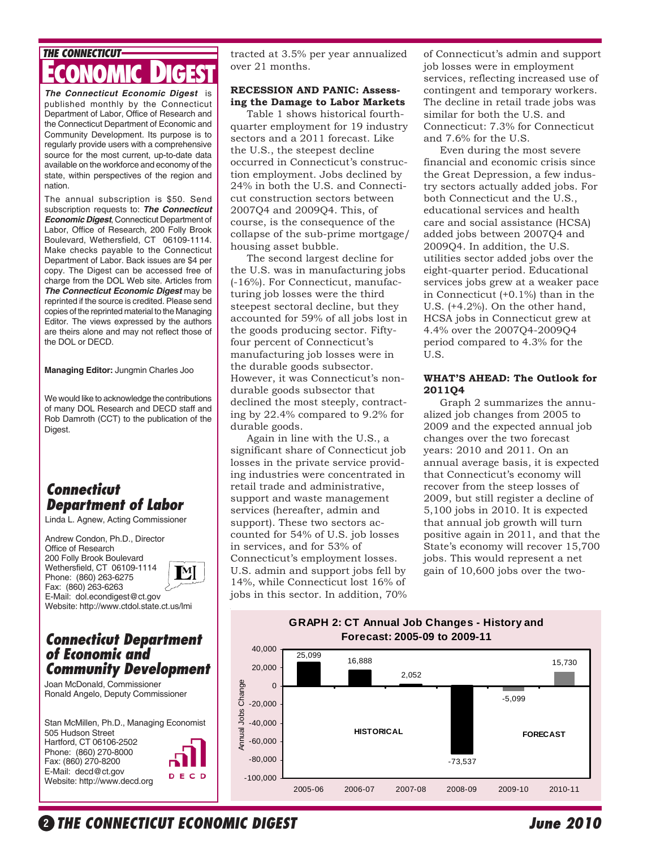# **THE CONNECTICUT ECONOMIC DIGEST**

*The Connecticut Economic Digest* is published monthly by the Connecticut Department of Labor, Office of Research and the Connecticut Department of Economic and Community Development. Its purpose is to regularly provide users with a comprehensive source for the most current, up-to-date data available on the workforce and economy of the state, within perspectives of the region and nation.

The annual subscription is \$50. Send subscription requests to: *The Connecticut Economic Digest*, Connecticut Department of Labor, Office of Research, 200 Folly Brook Boulevard, Wethersfield, CT 06109-1114. Make checks payable to the Connecticut Department of Labor. Back issues are \$4 per copy. The Digest can be accessed free of charge from the DOL Web site. Articles from *The Connecticut Economic Digest* may be reprinted if the source is credited. Please send copies of the reprinted material to the Managing Editor. The views expressed by the authors are theirs alone and may not reflect those of the DOL or DECD.

**Managing Editor:** Jungmin Charles Joo

We would like to acknowledge the contributions of many DOL Research and DECD staff and Rob Damroth (CCT) to the publication of the Digest.

## **Connecticut Department of Labor**

Linda L. Agnew, Acting Commissioner

Andrew Condon, Ph.D., Director Office of Research 200 Folly Brook Boulevard Wethersfield, CT 06109-1114  $\llbracket \mathbf{M} \rrbracket$ Phone: (860) 263-6275 Fax: (860) 263-6263 E-Mail: dol.econdigest@ct.gov Website: http://www.ctdol.state.ct.us/lmi

## **Connecticut Department of Economic and Community Development**

Joan McDonald, Commissioner Ronald Angelo, Deputy Commissioner

Stan McMillen, Ph.D., Managing Economist 505 Hudson Street Hartford, CT 06106-2502 Phone: (860) 270-8000 Fax: (860) 270-8200 E-Mail: decd@ct.gov DECD Website: http://www.decd.org

tracted at 3.5% per year annualized over 21 months.

### **RECESSION AND PANIC: Assessing the Damage to Labor Markets**

 Table 1 shows historical fourthquarter employment for 19 industry sectors and a 2011 forecast. Like the U.S., the steepest decline occurred in Connecticut's construction employment. Jobs declined by 24% in both the U.S. and Connecticut construction sectors between 2007Q4 and 2009Q4. This, of course, is the consequence of the collapse of the sub-prime mortgage/ housing asset bubble.

 The second largest decline for the U.S. was in manufacturing jobs (-16%). For Connecticut, manufacturing job losses were the third steepest sectoral decline, but they accounted for 59% of all jobs lost in the goods producing sector. Fiftyfour percent of Connecticut's manufacturing job losses were in the durable goods subsector. However, it was Connecticut's nondurable goods subsector that declined the most steeply, contracting by 22.4% compared to 9.2% for durable goods.

 Again in line with the U.S., a significant share of Connecticut job losses in the private service providing industries were concentrated in retail trade and administrative, support and waste management services (hereafter, admin and support). These two sectors accounted for 54% of U.S. job losses in services, and for 53% of Connecticut's employment losses. U.S. admin and support jobs fell by 14%, while Connecticut lost 16% of jobs in this sector. In addition, 70%

of Connecticut's admin and support job losses were in employment services, reflecting increased use of contingent and temporary workers. The decline in retail trade jobs was similar for both the U.S. and Connecticut: 7.3% for Connecticut and 7.6% for the U.S.

 Even during the most severe financial and economic crisis since the Great Depression, a few industry sectors actually added jobs. For both Connecticut and the U.S., educational services and health care and social assistance (HCSA) added jobs between 2007Q4 and 2009Q4. In addition, the U.S. utilities sector added jobs over the eight-quarter period. Educational services jobs grew at a weaker pace in Connecticut (+0.1%) than in the U.S. (+4.2%). On the other hand, HCSA jobs in Connecticut grew at 4.4% over the 2007Q4-2009Q4 period compared to 4.3% for the U.S.

### **WHAT'S AHEAD: The Outlook for 2011Q4**

 Graph 2 summarizes the annualized job changes from 2005 to 2009 and the expected annual job changes over the two forecast years: 2010 and 2011. On an annual average basis, it is expected that Connecticut's economy will recover from the steep losses of 2009, but still register a decline of 5,100 jobs in 2010. It is expected that annual job growth will turn positive again in 2011, and that the State's economy will recover 15,700 jobs. This would represent a net gain of 10,600 jobs over the two-

## **GRAPH 2: CT Annual Job Changes - History and Forecast: 2005-09 to 2009-11**



O**<sup>2</sup> THE CONNECTICUT ECONOMIC DIGEST June 2010**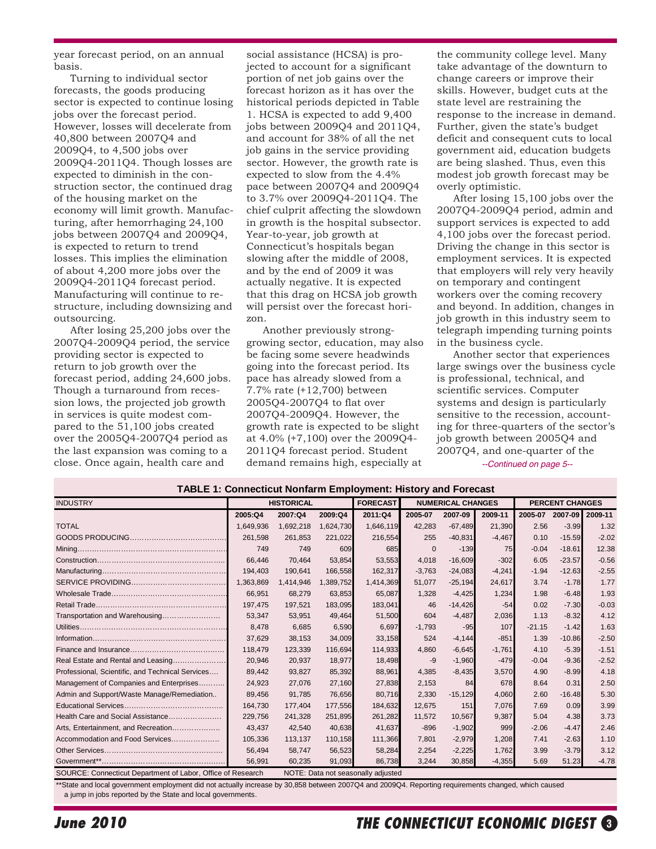year forecast period, on an annual basis.

 Turning to individual sector forecasts, the goods producing sector is expected to continue losing jobs over the forecast period. However, losses will decelerate from 40,800 between 2007Q4 and 2009Q4, to 4,500 jobs over 2009Q4-2011Q4. Though losses are expected to diminish in the construction sector, the continued drag of the housing market on the economy will limit growth. Manufacturing, after hemorrhaging 24,100 jobs between 2007Q4 and 2009Q4, is expected to return to trend losses. This implies the elimination of about 4,200 more jobs over the 2009Q4-2011Q4 forecast period. Manufacturing will continue to restructure, including downsizing and outsourcing.

 After losing 25,200 jobs over the 2007Q4-2009Q4 period, the service providing sector is expected to return to job growth over the forecast period, adding 24,600 jobs. Though a turnaround from recession lows, the projected job growth in services is quite modest compared to the 51,100 jobs created over the 2005Q4-2007Q4 period as the last expansion was coming to a close. Once again, health care and

social assistance (HCSA) is projected to account for a significant portion of net job gains over the forecast horizon as it has over the historical periods depicted in Table 1. HCSA is expected to add 9,400 jobs between 2009Q4 and 2011Q4, and account for 38% of all the net job gains in the service providing sector. However, the growth rate is expected to slow from the 4.4% pace between 2007Q4 and 2009Q4 to 3.7% over 2009Q4-2011Q4. The chief culprit affecting the slowdown in growth is the hospital subsector. Year-to-year, job growth at Connecticut's hospitals began slowing after the middle of 2008, and by the end of 2009 it was actually negative. It is expected that this drag on HCSA job growth will persist over the forecast horizon.

 Another previously stronggrowing sector, education, may also be facing some severe headwinds going into the forecast period. Its pace has already slowed from a 7.7% rate (+12,700) between 2005Q4-2007Q4 to flat over 2007Q4-2009Q4. However, the growth rate is expected to be slight at 4.0% (+7,100) over the 2009Q4- 2011Q4 forecast period. Student demand remains high, especially at

the community college level. Many take advantage of the downturn to change careers or improve their skills. However, budget cuts at the state level are restraining the response to the increase in demand. Further, given the state's budget deficit and consequent cuts to local government aid, education budgets are being slashed. Thus, even this modest job growth forecast may be overly optimistic.

 After losing 15,100 jobs over the 2007Q4-2009Q4 period, admin and support services is expected to add 4,100 jobs over the forecast period. Driving the change in this sector is employment services. It is expected that employers will rely very heavily on temporary and contingent workers over the coming recovery and beyond. In addition, changes in job growth in this industry seem to telegraph impending turning points in the business cycle.

*--Continued on page 5--* Another sector that experiences large swings over the business cycle is professional, technical, and scientific services. Computer systems and design is particularly sensitive to the recession, accounting for three-quarters of the sector's job growth between 2005Q4 and 2007Q4, and one-quarter of the

| <b>INDUSTRY</b>                                             |           | <b>HISTORICAL</b> |           | <b>FORECAST</b>                    |             | <b>NUMERICAL CHANGES</b> |          | <b>PERCENT CHANGES</b> |          |         |
|-------------------------------------------------------------|-----------|-------------------|-----------|------------------------------------|-------------|--------------------------|----------|------------------------|----------|---------|
|                                                             | 2005:Q4   | 2007:Q4           | 2009:Q4   | 2011:Q4                            | 2005-07     | 2007-09                  | 2009-11  | 2005-07                | 2007-09  | 2009-11 |
| <b>TOTAL</b>                                                | 1,649,936 | 1,692,218         | 1,624,730 | 1,646,119                          | 42,283      | $-67,489$                | 21,390   | 2.56                   | $-3.99$  | 1.32    |
|                                                             | 261,598   | 261,853           | 221,022   | 216,554                            | 255         | $-40,831$                | $-4.467$ | 0.10                   | $-15.59$ | $-2.02$ |
|                                                             | 749       | 749               | 609       | 685                                | $\mathbf 0$ | $-139$                   | 75       | $-0.04$                | $-18.61$ | 12.38   |
|                                                             | 66,446    | 70.464            | 53,854    | 53,553                             | 4,018       | $-16,609$                | $-302$   | 6.05                   | $-23.57$ | $-0.56$ |
|                                                             | 194,403   | 190,641           | 166,558   | 162,317                            | $-3,763$    | $-24,083$                | $-4,241$ | $-1.94$                | $-12.63$ | $-2.55$ |
|                                                             | 1,363,869 | 1,414,946         | 1,389,752 | 1,414,369                          | 51,077      | $-25,194$                | 24,617   | 3.74                   | $-1.78$  | 1.77    |
|                                                             | 66,951    | 68,279            | 63,853    | 65,087                             | 1,328       | $-4,425$                 | 1,234    | 1.98                   | $-6.48$  | 1.93    |
|                                                             | 197,475   | 197,521           | 183,095   | 183,041                            | 46          | $-14,426$                | $-54$    | 0.02                   | $-7.30$  | $-0.03$ |
| Transportation and Warehousing                              | 53,347    | 53,951            | 49,464    | 51,500                             | 604         | $-4,487$                 | 2,036    | 1.13                   | $-8.32$  | 4.12    |
|                                                             | 8.478     | 6,685             | 6,590     | 6.697                              | $-1.793$    | $-95$                    | 107      | $-21.15$               | $-1.42$  | 1.63    |
|                                                             | 37,629    | 38,153            | 34,009    | 33,158                             | 524         | $-4,144$                 | $-851$   | 1.39                   | $-10.86$ | $-2.50$ |
|                                                             | 118,479   | 123,339           | 116,694   | 114,933                            | 4,860       | $-6,645$                 | $-1.761$ | 4.10                   | $-5.39$  | $-1.51$ |
| Real Estate and Rental and Leasing                          | 20,946    | 20,937            | 18,977    | 18,498                             | -9          | $-1,960$                 | $-479$   | $-0.04$                | $-9.36$  | $-2.52$ |
| Professional, Scientific, and Technical Services            | 89,442    | 93,827            | 85,392    | 88,961                             | 4,385       | $-8,435$                 | 3,570    | 4.90                   | $-8.99$  | 4.18    |
| Management of Companies and Enterprises                     | 24,923    | 27,076            | 27.160    | 27,838                             | 2,153       | 84                       | 678      | 8.64                   | 0.31     | 2.50    |
| Admin and Support/Waste Manage/Remediation                  | 89,456    | 91,785            | 76,656    | 80.716                             | 2,330       | $-15.129$                | 4,060    | 2.60                   | $-16.48$ | 5.30    |
|                                                             | 164.730   | 177,404           | 177.556   | 184.632                            | 12.675      | 151                      | 7.076    | 7.69                   | 0.09     | 3.99    |
| Health Care and Social Assistance                           | 229,756   | 241,328           | 251,895   | 261,282                            | 11,572      | 10,567                   | 9,387    | 5.04                   | 4.38     | 3.73    |
| Arts, Entertainment, and Recreation                         | 43,437    | 42,540            | 40,638    | 41,637                             | $-896$      | $-1,902$                 | 999      | $-2.06$                | $-4.47$  | 2.46    |
| Accommodation and Food Services                             | 105,336   | 113,137           | 110,158   | 111,366                            | 7,801       | $-2,979$                 | 1,208    | 7.41                   | $-2.63$  | 1.10    |
|                                                             | 56,494    | 58,747            | 56,523    | 58,284                             | 2,254       | $-2,225$                 | 1.762    | 3.99                   | $-3.79$  | 3.12    |
|                                                             | 56,991    | 60,235            | 91,093    | 86,738                             | 3,244       | 30,858                   | $-4,355$ | 5.69                   | 51.23    | $-4.78$ |
| SOURCE: Connecticut Department of Labor, Office of Research |           |                   |           | NOTE: Data not seasonally adjusted |             |                          |          |                        |          |         |

**TABLE 1: Connecticut Nonfarm Employment: History and Forecast**

\*\*State and local government employment did not actually increase by 30,858 between 2007Q4 and 2009Q4. Reporting requirements changed, which caused

a jump in jobs reported by the State and local governments.

# **THE CONNECTICUT ECONOMIC DIGEST**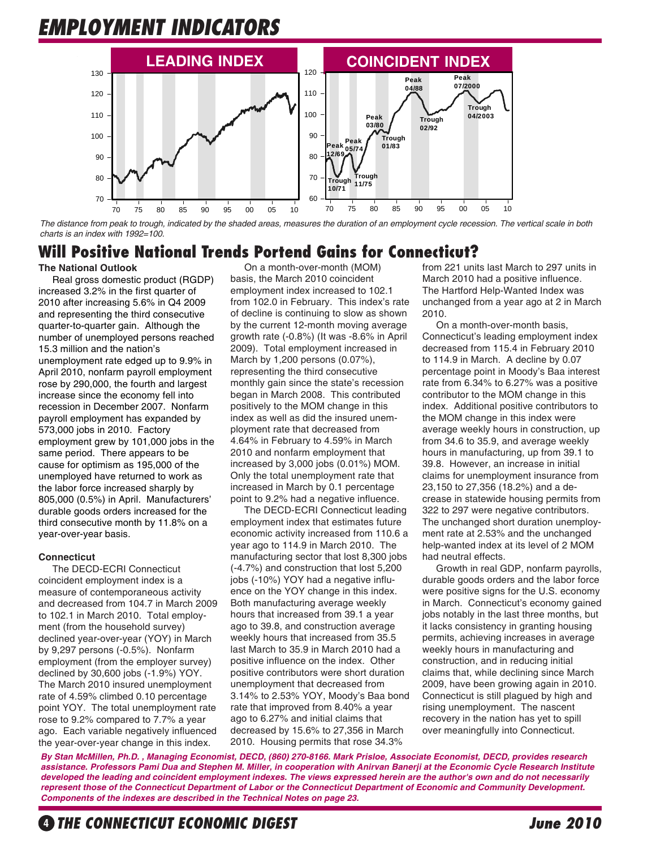# **EMPLOYMENT INDICATORS**



*The distance from peak to trough, indicated by the shaded areas, measures the duration of an employment cycle recession. The vertical scale in both charts is an index with 1992=100.*

# **Will Positive National Trends Portend Gains for Connecticut?**

### **The National Outlook**

 Real gross domestic product (RGDP) increased 3.2% in the first quarter of 2010 after increasing 5.6% in Q4 2009 and representing the third consecutive quarter-to-quarter gain. Although the number of unemployed persons reached 15.3 million and the nation's unemployment rate edged up to 9.9% in April 2010, nonfarm payroll employment rose by 290,000, the fourth and largest increase since the economy fell into recession in December 2007. Nonfarm payroll employment has expanded by 573,000 jobs in 2010. Factory employment grew by 101,000 jobs in the same period. There appears to be cause for optimism as 195,000 of the unemployed have returned to work as the labor force increased sharply by 805,000 (0.5%) in April. Manufacturers' durable goods orders increased for the third consecutive month by 11.8% on a year-over-year basis.

### **Connecticut**

 The DECD-ECRI Connecticut coincident employment index is a measure of contemporaneous activity and decreased from 104.7 in March 2009 to 102.1 in March 2010. Total employment (from the household survey) declined year-over-year (YOY) in March by 9,297 persons (-0.5%). Nonfarm employment (from the employer survey) declined by 30,600 jobs (-1.9%) YOY. The March 2010 insured unemployment rate of 4.59% climbed 0.10 percentage point YOY. The total unemployment rate rose to 9.2% compared to 7.7% a year ago. Each variable negatively influenced the year-over-year change in this index.

 On a month-over-month (MOM) basis, the March 2010 coincident employment index increased to 102.1 from 102.0 in February. This index's rate of decline is continuing to slow as shown by the current 12-month moving average growth rate (-0.8%) (It was -8.6% in April 2009). Total employment increased in March by 1,200 persons (0.07%), representing the third consecutive monthly gain since the state's recession began in March 2008. This contributed positively to the MOM change in this index as well as did the insured unemployment rate that decreased from 4.64% in February to 4.59% in March 2010 and nonfarm employment that increased by 3,000 jobs (0.01%) MOM. Only the total unemployment rate that increased in March by 0.1 percentage point to 9.2% had a negative influence.

The DECD-ECRI Connecticut leading employment index that estimates future economic activity increased from 110.6 a year ago to 114.9 in March 2010. The manufacturing sector that lost 8,300 jobs (-4.7%) and construction that lost 5,200 jobs (-10%) YOY had a negative influence on the YOY change in this index. Both manufacturing average weekly hours that increased from 39.1 a year ago to 39.8, and construction average weekly hours that increased from 35.5 last March to 35.9 in March 2010 had a positive influence on the index. Other positive contributors were short duration unemployment that decreased from 3.14% to 2.53% YOY, Moody's Baa bond rate that improved from 8.40% a year ago to 6.27% and initial claims that decreased by 15.6% to 27,356 in March 2010. Housing permits that rose 34.3%

from 221 units last March to 297 units in March 2010 had a positive influence. The Hartford Help-Wanted Index was unchanged from a year ago at 2 in March 2010.

On a month-over-month basis, Connecticut's leading employment index decreased from 115.4 in February 2010 to 114.9 in March. A decline by 0.07 percentage point in Moody's Baa interest rate from 6.34% to 6.27% was a positive contributor to the MOM change in this index. Additional positive contributors to the MOM change in this index were average weekly hours in construction, up from 34.6 to 35.9, and average weekly hours in manufacturing, up from 39.1 to 39.8. However, an increase in initial claims for unemployment insurance from 23,150 to 27,356 (18.2%) and a decrease in statewide housing permits from 322 to 297 were negative contributors. The unchanged short duration unemployment rate at 2.53% and the unchanged help-wanted index at its level of 2 MOM had neutral effects.

 Growth in real GDP, nonfarm payrolls, durable goods orders and the labor force were positive signs for the U.S. economy in March. Connecticut's economy gained jobs notably in the last three months, but it lacks consistency in granting housing permits, achieving increases in average weekly hours in manufacturing and construction, and in reducing initial claims that, while declining since March 2009, have been growing again in 2010. Connecticut is still plagued by high and rising unemployment. The nascent recovery in the nation has yet to spill over meaningfully into Connecticut.

*By Stan McMillen, Ph.D. , Managing Economist, DECD, (860) 270-8166. Mark Prisloe, Associate Economist, DECD, provides research assistance. Professors Pami Dua and Stephen M. Miller, in cooperation with Anirvan Banerji at the Economic Cycle Research Institute developed the leading and coincident employment indexes. The views expressed herein are the author's own and do not necessarily represent those of the Connecticut Department of Labor or the Connecticut Department of Economic and Community Development. Components of the indexes are described in the Technical Notes on page 23.*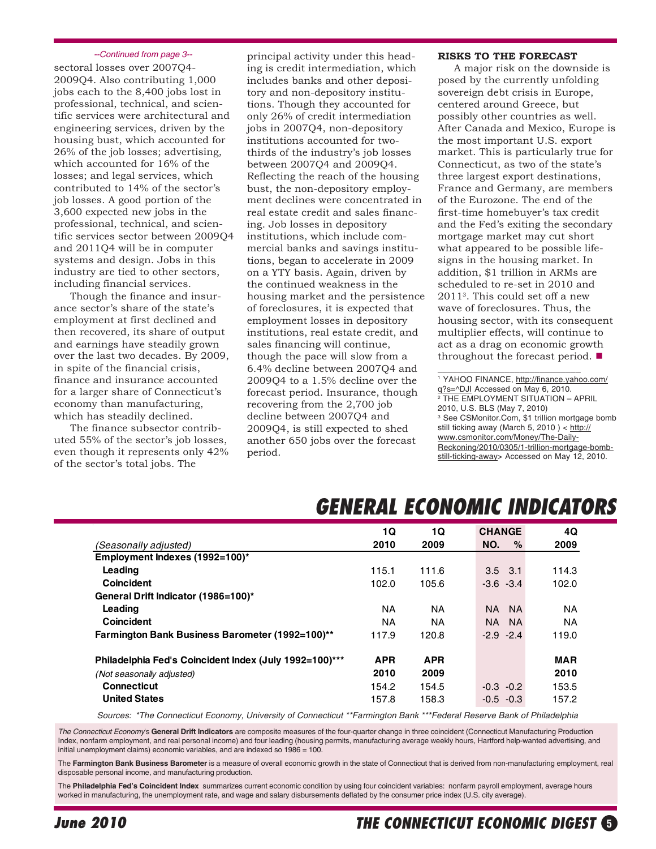#### *--Continued from page 3--*

sectoral losses over 2007Q4- 2009Q4. Also contributing 1,000 jobs each to the 8,400 jobs lost in professional, technical, and scientific services were architectural and engineering services, driven by the housing bust, which accounted for 26% of the job losses; advertising, which accounted for 16% of the losses; and legal services, which contributed to 14% of the sector's job losses. A good portion of the 3,600 expected new jobs in the professional, technical, and scientific services sector between 2009Q4 and 2011Q4 will be in computer systems and design. Jobs in this industry are tied to other sectors, including financial services.

 Though the finance and insurance sector's share of the state's employment at first declined and then recovered, its share of output and earnings have steadily grown over the last two decades. By 2009, in spite of the financial crisis, finance and insurance accounted for a larger share of Connecticut's economy than manufacturing, which has steadily declined.

 The finance subsector contributed 55% of the sector's job losses, even though it represents only 42% of the sector's total jobs. The

principal activity under this heading is credit intermediation, which includes banks and other depository and non-depository institutions. Though they accounted for only 26% of credit intermediation jobs in 2007Q4, non-depository institutions accounted for twothirds of the industry's job losses between 2007Q4 and 2009Q4. Reflecting the reach of the housing bust, the non-depository employment declines were concentrated in real estate credit and sales financing. Job losses in depository institutions, which include commercial banks and savings institutions, began to accelerate in 2009 on a YTY basis. Again, driven by the continued weakness in the housing market and the persistence of foreclosures, it is expected that employment losses in depository institutions, real estate credit, and sales financing will continue, though the pace will slow from a 6.4% decline between 2007Q4 and 2009Q4 to a 1.5% decline over the forecast period. Insurance, though recovering from the 2,700 job decline between 2007Q4 and 2009Q4, is still expected to shed another 650 jobs over the forecast period.

#### **RISKS TO THE FORECAST**

 A major risk on the downside is posed by the currently unfolding sovereign debt crisis in Europe, centered around Greece, but possibly other countries as well. After Canada and Mexico, Europe is the most important U.S. export market. This is particularly true for Connecticut, as two of the state's three largest export destinations, France and Germany, are members of the Eurozone. The end of the first-time homebuyer's tax credit and the Fed's exiting the secondary mortgage market may cut short what appeared to be possible lifesigns in the housing market. In addition, \$1 trillion in ARMs are scheduled to re-set in 2010 and 20113. This could set off a new wave of foreclosures. Thus, the housing sector, with its consequent multiplier effects, will continue to act as a drag on economic growth throughout the forecast period.  $\blacksquare$ 

1 YAHOO FINANCE, http://finance.yahoo.com/ g?s=^DJI Accessed on May 6, 2010. 2 THE EMPLOYMENT SITUATION – APRIL 2010, U.S. BLS (May 7, 2010) 3 See CSMonitor.Com, \$1 trillion mortgage bomb still ticking away (March 5, 2010 ) < http:// www.csmonitor.com/Money/The-Daily-Reckoning/2010/0305/1-trillion-mortgage-bombstill-ticking-away> Accessed on May 12, 2010.

\_\_\_\_\_\_\_\_\_\_\_\_\_\_\_\_\_\_\_\_\_\_\_\_\_\_\_\_

# **GENERAL ECONOMIC INDICATORS**

|                                                        | 10         | 1Q         | <b>CHANGE</b>    | 4Q         |
|--------------------------------------------------------|------------|------------|------------------|------------|
| (Seasonally adjusted)                                  | 2010       | 2009       | $\%$<br>NO.      | 2009       |
| Employment Indexes (1992=100)*                         |            |            |                  |            |
| Leading                                                | 115.1      | 111.6      | $3.5$ $3.1$      | 114.3      |
| Coincident                                             | 102.0      | 105.6      | $-3.6 - 3.4$     | 102.0      |
| General Drift Indicator (1986=100)*                    |            |            |                  |            |
| Leading                                                | ΝA         | NA.        | - NA<br>NA.      | NA.        |
| Coincident                                             | ΝA         | ΝA         | NA.<br><b>NA</b> | <b>NA</b>  |
| Farmington Bank Business Barometer (1992=100)**        | 117.9      | 120.8      | $-2.9 -2.4$      | 119.0      |
| Philadelphia Fed's Coincident Index (July 1992=100)*** | <b>APR</b> | <b>APR</b> |                  | <b>MAR</b> |
| (Not seasonally adjusted)                              | 2010       | 2009       |                  | 2010       |
| <b>Connecticut</b>                                     | 154.2      | 154.5      | $-0.3 - 0.2$     | 153.5      |
| <b>United States</b>                                   | 157.8      | 158.3      | $-0.5 -0.3$      | 157.2      |

*Sources: \*The Connecticut Economy, University of Connecticut \*\*Farmington Bank \*\*\*Federal Reserve Bank of Philadelphia*

*The Connecticut Economy*'s **General Drift Indicators** are composite measures of the four-quarter change in three coincident (Connecticut Manufacturing Production Index, nonfarm employment, and real personal income) and four leading (housing permits, manufacturing average weekly hours, Hartford help-wanted advertising, and initial unemployment claims) economic variables, and are indexed so 1986 = 100.

The **Farmington Bank Business Barometer** is a measure of overall economic growth in the state of Connecticut that is derived from non-manufacturing employment, real disposable personal income, and manufacturing production.

The **Philadelphia Fed's Coincident Index** summarizes current economic condition by using four coincident variables: nonfarm payroll employment, average hours worked in manufacturing, the unemployment rate, and wage and salary disbursements deflated by the consumer price index (U.S. city average).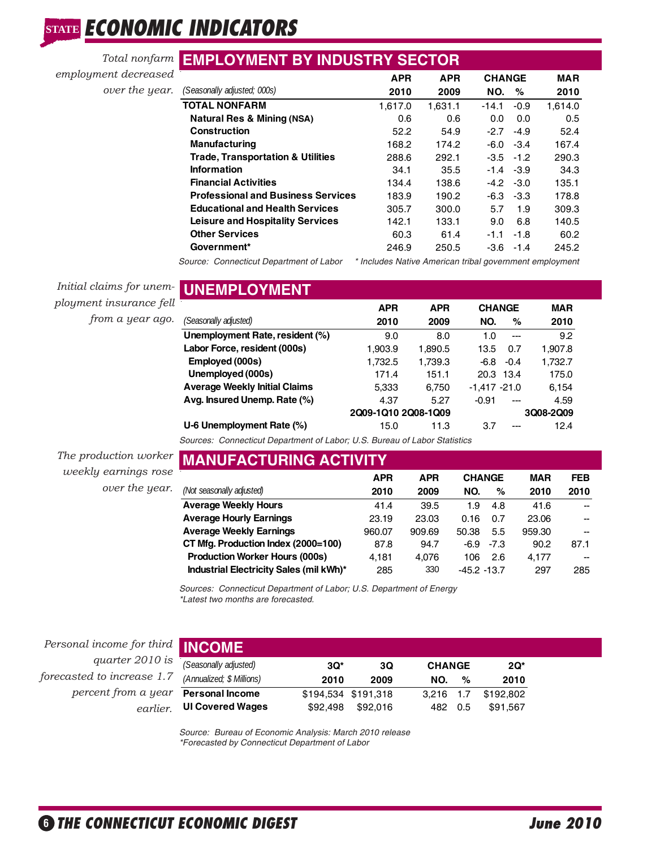# **STATE ECONOMIC INDICATORS**

|                      | <b>Total nonfarm EMPLOYMENT BY INDUSTRY SECTOR</b> |            |            |               |        |            |  |
|----------------------|----------------------------------------------------|------------|------------|---------------|--------|------------|--|
| employment decreased |                                                    | <b>APR</b> | <b>APR</b> | <b>CHANGE</b> |        | <b>MAR</b> |  |
| over the year.       | (Seasonally adjusted; 000s)                        | 2010       | 2009       | NO.           | %      | 2010       |  |
|                      | <b>TOTAL NONFARM</b>                               | 1.617.0    | 1,631.1    | $-14.1$       | $-0.9$ | 1,614.0    |  |
|                      | Natural Res & Mining (NSA)                         | 0.6        | 0.6        | 0.0           | 0.0    | 0.5        |  |
|                      | <b>Construction</b>                                | 52.2       | 54.9       | $-2.7$        | $-4.9$ | 52.4       |  |
|                      | <b>Manufacturing</b>                               | 168.2      | 174.2      | -6.0          | $-3.4$ | 167.4      |  |
|                      | <b>Trade, Transportation &amp; Utilities</b>       | 288.6      | 292.1      | $-3.5 -1.2$   |        | 290.3      |  |
|                      | <b>Information</b>                                 | 34.1       | 35.5       | $-1.4 -3.9$   |        | 34.3       |  |
|                      | <b>Financial Activities</b>                        | 134.4      | 138.6      | -4.2          | $-3.0$ | 135.1      |  |
|                      | <b>Professional and Business Services</b>          | 183.9      | 190.2      | $-6.3 -3.3$   |        | 178.8      |  |
|                      | <b>Educational and Health Services</b>             | 305.7      | 300.0      | 5.7           | 1.9    | 309.3      |  |
|                      | <b>Leisure and Hospitality Services</b>            | 142.1      | 133.1      | 9.0           | 6.8    | 140.5      |  |
|                      | <b>Other Services</b>                              | 60.3       | 61.4       | $-1.1$        | $-1.8$ | 60.2       |  |
|                      | Government*                                        | 246.9      | 250.5      | -3.6          | $-1.4$ | 245.2      |  |

*Source: Connecticut Department of Labor \* Includes Native American tribal government employment*

*Initial claims for unem-***UNEMPLOYMENT** *ployment insurance fell from a year ago.*

| UNEMFLU I MENI                       |                                  |            |                 |        |            |  |  |
|--------------------------------------|----------------------------------|------------|-----------------|--------|------------|--|--|
|                                      | <b>APR</b>                       | <b>APR</b> | <b>CHANGE</b>   |        | <b>MAR</b> |  |  |
| (Seasonally adjusted)                | 2010                             | 2009       | NO.             | %      | 2010       |  |  |
| Unemployment Rate, resident (%)      | 9.0                              | 8.0        | 1.0             | ---    | 9.2        |  |  |
| Labor Force, resident (000s)         | 1.903.9                          | 1.890.5    | 13.5            | 0.7    | 1,907.8    |  |  |
| Employed (000s)                      | 1,732.5                          | 1,739.3    | -6.8            | $-0.4$ | 1,732.7    |  |  |
| Unemployed (000s)                    | 171.4                            | 151.1      | 20.3 13.4       |        | 175.0      |  |  |
| <b>Average Weekly Initial Claims</b> | 5.333                            | 6.750      | $-1.417 - 21.0$ |        | 6.154      |  |  |
| Avg. Insured Unemp. Rate (%)         | 4.37                             | 5.27       | $-0.91$         | $---$  | 4.59       |  |  |
|                                      | 2Q09-1Q10 2Q08-1Q09<br>3Q08-2Q09 |            |                 |        |            |  |  |
| U-6 Unemployment Rate (%)            | 15.0                             | 11.3       | 3.7             | ---    | 12.4       |  |  |

*Sources: Connecticut Department of Labor; U.S. Bureau of Labor Statistics*

*The production worker weekly earnings rose over the year.*

| <b>MANUFACTURING ACTIVITY</b>           |            |            |               |        |            |            |  |  |  |  |
|-----------------------------------------|------------|------------|---------------|--------|------------|------------|--|--|--|--|
|                                         | <b>APR</b> | <b>APR</b> | <b>CHANGE</b> |        | <b>MAR</b> | <b>FEB</b> |  |  |  |  |
| (Not seasonally adjusted)               | 2010       | 2009       | NO.           | %      | 2010       | 2010       |  |  |  |  |
| <b>Average Weekly Hours</b>             | 41.4       | 39.5       | 1.9           | 4.8    | 41.6       | --         |  |  |  |  |
| <b>Average Hourly Earnings</b>          | 23.19      | 23.03      | 0.16          | 0.7    | 23.06      | --         |  |  |  |  |
| <b>Average Weekly Earnings</b>          | 960.07     | 909.69     | 50.38         | 5.5    | 959.30     | --         |  |  |  |  |
| CT Mfg. Production Index (2000=100)     | 87.8       | 94.7       | -6.9          | $-7.3$ | 90.2       | 87.1       |  |  |  |  |
| <b>Production Worker Hours (000s)</b>   | 4.181      | 4.076      | 106           | 2.6    | 4.177      | --         |  |  |  |  |
| Industrial Electricity Sales (mil kWh)* | 285        | 330        | $-45.2 -13.7$ |        | 297        | 285        |  |  |  |  |

*Sources: Connecticut Department of Labor; U.S. Department of Energy \*Latest two months are forecasted.*

*Personal income for third quarter 2010 is forecasted to increase 1.7 percent from a year earlier.*

| <b>INCOME</b>             |          |                     |               |           |
|---------------------------|----------|---------------------|---------------|-----------|
| (Seasonally adjusted)     | $3Q^*$   | 30                  | <b>CHANGE</b> | $2Q^*$    |
| (Annualized: \$ Millions) | 2010     | 2009                | %<br>NO.      | 2010      |
| <b>Personal Income</b>    |          | \$194,534 \$191,318 | $3.216$ 1.7   | \$192,802 |
| <b>UI Covered Wages</b>   | \$92.498 | \$92,016            | 482 0.5       | \$91.567  |

*Source: Bureau of Economic Analysis: March 2010 release \*Forecasted by Connecticut Department of Labor*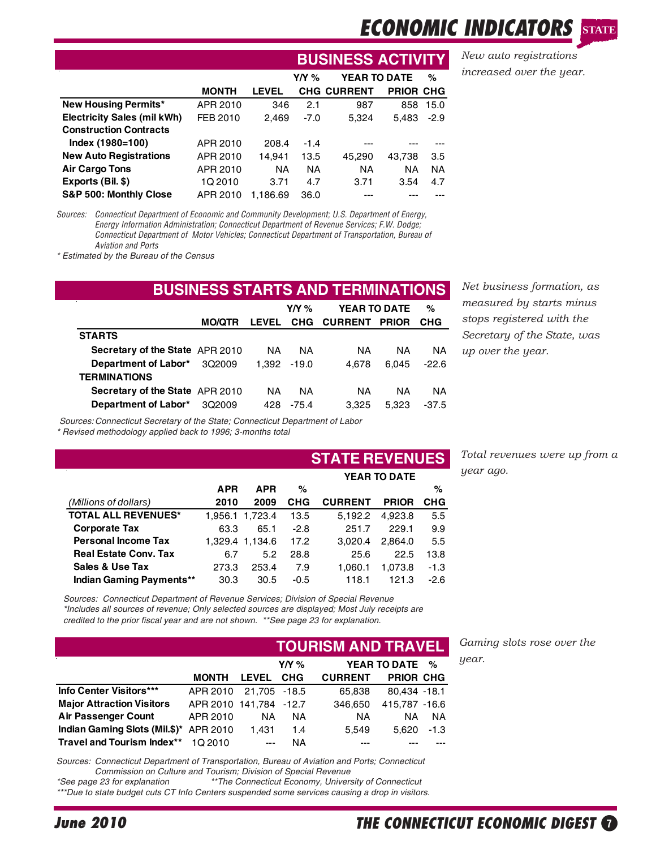# **ECONOMIC INDICATO**

**BUSINESS ACTIVITY** *New auto registrations increased over the year.*

**STATE**

|                                    |              |              |           | BUSINESS AUTIVITY   |                  |           |
|------------------------------------|--------------|--------------|-----------|---------------------|------------------|-----------|
|                                    |              |              | Y/Y %     | <b>YEAR TO DATE</b> |                  | %         |
|                                    | <b>MONTH</b> | <b>LEVEL</b> |           | <b>CHG CURRENT</b>  | <b>PRIOR CHG</b> |           |
| <b>New Housing Permits*</b>        | APR 2010     | 346          | 2.1       | 987                 | 858              | 15.0      |
| <b>Electricity Sales (mil kWh)</b> | FEB 2010     | 2.469        | $-7.0$    | 5.324               | 5.483            | $-2.9$    |
| <b>Construction Contracts</b>      |              |              |           |                     |                  |           |
| Index (1980=100)                   | APR 2010     | 208.4        | $-1.4$    |                     |                  |           |
| <b>New Auto Registrations</b>      | APR 2010     | 14.941       | 13.5      | 45,290              | 43,738           | 3.5       |
| <b>Air Cargo Tons</b>              | APR 2010     | <b>NA</b>    | <b>NA</b> | <b>NA</b>           | NA               | <b>NA</b> |
| Exports (Bil. \$)                  | 1Q 2010      | 3.71         | 4.7       | 3.71                | 3.54             | 4.7       |
| S&P 500: Monthly Close             | APR 2010     | 1.186.69     | 36.0      |                     |                  |           |

*Sources: Connecticut Department of Economic and Community Development; U.S. Department of Energy, Energy Information Administration; Connecticut Department of Revenue Services; F.W. Dodge; Connecticut Department of Motor Vehicles; Connecticut Department of Transportation, Bureau of Aviation and Ports*

*\* Estimated by the Bureau of the Census*

| <b>BUSINESS STARTS AND TERMINATIONS</b> |               |              |                          |                |              |            |  |  |  |
|-----------------------------------------|---------------|--------------|--------------------------|----------------|--------------|------------|--|--|--|
|                                         |               |              | YEAR TO DATE<br>Y/Y $\%$ |                |              | %          |  |  |  |
|                                         | <b>MO/QTR</b> | <b>LEVEL</b> | <b>CHG</b>               | <b>CURRENT</b> | <b>PRIOR</b> | <b>CHG</b> |  |  |  |
| <b>STARTS</b>                           |               |              |                          |                |              |            |  |  |  |
| <b>Secretary of the State APR 2010</b>  |               | NA.          | ΝA                       | ΝA             | ΝA           | NA.        |  |  |  |
| Department of Labor*                    | 3Q2009        | 1.392        | $-19.0$                  | 4.678          | 6.045        | $-22.6$    |  |  |  |
| <b>TERMINATIONS</b>                     |               |              |                          |                |              |            |  |  |  |
| Secretary of the State APR 2010         |               | NA.          | ΝA                       | ΝA             | ΝA           | NA.        |  |  |  |
| Department of Labor*                    | 302009        | 428          | $-75.4$                  | 3.325          | 5.323        | $-37.5$    |  |  |  |

**Net business formation, as** *measured by starts minus stops registered with the Secretary of the State, was up over the year.*

*Sources: Connecticut Secretary of the State; Connecticut Department of Labor*

*\* Revised methodology applied back to 1996; 3-months total*

|                              |            |                 |                     | <b>STATE REVENUES</b> |              |        |  |
|------------------------------|------------|-----------------|---------------------|-----------------------|--------------|--------|--|
|                              |            |                 | <b>YEAR TO DATE</b> |                       |              |        |  |
|                              | <b>APR</b> | <b>APR</b>      | %                   |                       |              | %      |  |
| (Millions of dollars)        | 2010       | 2009            | <b>CHG</b>          | <b>CURRENT</b>        | <b>PRIOR</b> | CHG    |  |
| <b>TOTAL ALL REVENUES*</b>   |            | 1.956.1 1.723.4 | 13.5                | 5.192.2               | 4.923.8      | 5.5    |  |
| <b>Corporate Tax</b>         | 63.3       | 65.1            | $-2.8$              | 251.7                 | 229.1        | 9.9    |  |
| <b>Personal Income Tax</b>   |            | 1,329.4 1,134.6 | 17.2                | 3.020.4               | 2.864.0      | 5.5    |  |
| <b>Real Estate Conv. Tax</b> | 6.7        | 5.2             | 28.8                | 25.6                  | 22.5         | 13.8   |  |
| <b>Sales &amp; Use Tax</b>   | 273.3      | 253.4           | 7.9                 | 1.060.1               | 1.073.8      | $-1.3$ |  |
| Indian Gaming Payments**     | 30.3       | 30.5            | $-0.5$              | 118.1                 | 121.3        | $-2.6$ |  |

*Total revenues were up from a year ago.*

*Sources: Connecticut Department of Revenue Services; Division of Special Revenue \*Includes all sources of revenue; Only selected sources are displayed; Most July receipts are credited to the prior fiscal year and are not shown. \*\*See page 23 for explanation.*

|                                        |                        |              |            | <b>TOURISM AND TRAVEL</b> |                     |           |
|----------------------------------------|------------------------|--------------|------------|---------------------------|---------------------|-----------|
|                                        |                        |              | Y/Y $%$    |                           | <b>YEAR TO DATE</b> | %         |
|                                        | <b>MONTH</b>           | <b>LEVEL</b> | <b>CHG</b> | <b>CURRENT</b>            | PRIOR CHG           |           |
| Info Center Visitors***                | APR 2010               | 21.705 -18.5 |            | 65.838                    | 80,434 -18.1        |           |
| <b>Major Attraction Visitors</b>       | APR 2010 141.784 -12.7 |              |            | 346,650                   | 415,787 -16.6       |           |
| <b>Air Passenger Count</b>             | APR 2010               | ΝA           | NA.        | <b>NA</b>                 | NA.                 | <b>NA</b> |
| Indian Gaming Slots (Mil.\$)* APR 2010 |                        | 1.431        | 1.4        | 5.549                     | 5.620               | $-1.3$    |
| Travel and Tourism Index**             | 10 2010                | $\sim$       | <b>NA</b>  |                           |                     |           |

*Sources: Connecticut Department of Transportation, Bureau of Aviation and Ports; Connecticut Commission on Culture and Tourism; Division of Special Revenue*

\*\*The Connecticut Economy, University of Connecticut *\*\*\*Due to state budget cuts CT Info Centers suspended some services causing a drop in visitors.* *Gaming slots rose over the year.*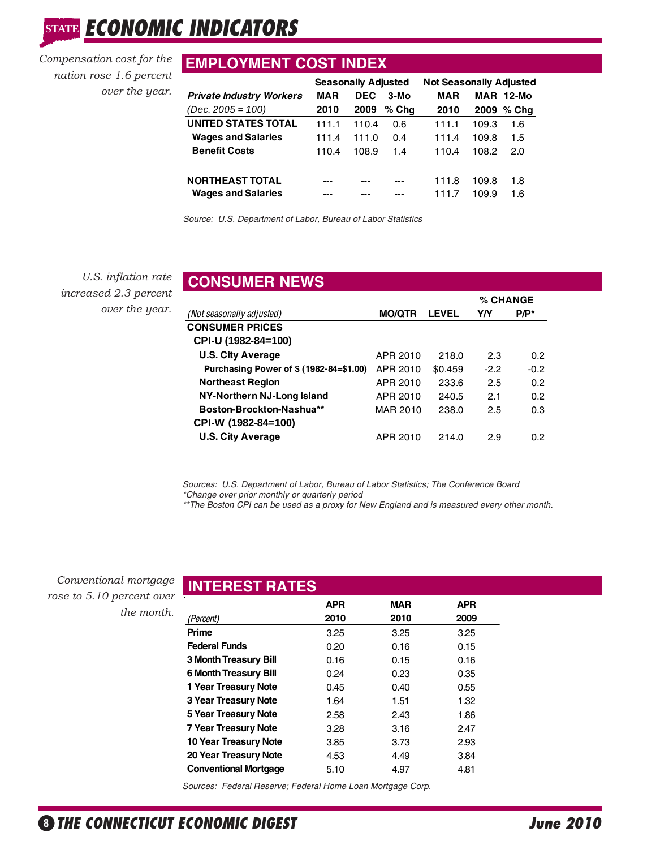STATE **ECONOMIC INDICATORS** 

*nation rose 1.6 percent over the year.*

# **EMPLOYMENT COST INDEX** *Compensation cost for the*

|                                 | <b>Seasonally Adjusted</b> |            |        | <b>Not Seasonally Adjusted</b> |       |           |
|---------------------------------|----------------------------|------------|--------|--------------------------------|-------|-----------|
| <b>Private Industry Workers</b> | MAR                        | <b>DEC</b> | $3-MO$ | MAR                            |       | MAR 12-Mo |
| $(Dec. 2005 = 100)$             | 2010                       | 2009       | % Cha  | 2010                           | 2009  | $%$ Chq   |
| <b>UNITED STATES TOTAL</b>      | 111.1                      | 110.4      | 0.6    | 111.1                          | 109.3 | 1.6       |
| <b>Wages and Salaries</b>       | 111.4                      | 111.0      | 0.4    | 111.4                          | 109.8 | 1.5       |
| <b>Benefit Costs</b>            | 110.4                      | 108.9      | 1.4    | 110.4                          | 108.2 | 2.0       |
|                                 |                            |            |        |                                |       |           |
| <b>NORTHEAST TOTAL</b>          |                            |            |        | 111.8                          | 109.8 | 1.8       |
| <b>Wages and Salaries</b>       |                            |            |        | 1117                           | 109.9 | 1.6       |
|                                 |                            |            |        |                                |       |           |

*Source: U.S. Department of Labor, Bureau of Labor Statistics*

*U.S. inflation rate increased 2.3 percent over the year.*

| <b>CONSUMER NEWS</b>                    |               |              |          |         |  |  |  |
|-----------------------------------------|---------------|--------------|----------|---------|--|--|--|
|                                         |               |              | % CHANGE |         |  |  |  |
| (Not seasonally adjusted)               | <b>MO/QTR</b> | <b>LEVEL</b> | YN       | $P/P^*$ |  |  |  |
| <b>CONSUMER PRICES</b>                  |               |              |          |         |  |  |  |
| CPI-U (1982-84=100)                     |               |              |          |         |  |  |  |
| <b>U.S. City Average</b>                | APR 2010      | 218.0        | 2.3      | 0.2     |  |  |  |
| Purchasing Power of \$ (1982-84=\$1.00) | APR 2010      | \$0.459      | $-2.2$   | $-0.2$  |  |  |  |
| <b>Northeast Region</b>                 | APR 2010      | 233.6        | 2.5      | 0.2     |  |  |  |
| NY-Northern NJ-Long Island              | APR 2010      | 240.5        | 2.1      | 0.2     |  |  |  |
| Boston-Brockton-Nashua**                | MAR 2010      | 238.0        | 2.5      | 0.3     |  |  |  |
| CPI-W (1982-84=100)                     |               |              |          |         |  |  |  |
| <b>U.S. City Average</b>                | APR 2010      | 214.0        | 2.9      | 0.2     |  |  |  |

*Sources: U.S. Department of Labor, Bureau of Labor Statistics; The Conference Board \*Change over prior monthly or quarterly period*

*\*\*The Boston CPI can be used as a proxy for New England and is measured every other month.*

*Conventional mortgage rose to 5.10 percent over the month.*

|                              | <b>APR</b> | <b>MAR</b> | APR  |
|------------------------------|------------|------------|------|
| (Percent)                    | 2010       | 2010       | 2009 |
| Prime                        | 3.25       | 3.25       | 3.25 |
| <b>Federal Funds</b>         | 0.20       | 0.16       | 0.15 |
| <b>3 Month Treasury Bill</b> | 0.16       | 0.15       | 0.16 |
| <b>6 Month Treasury Bill</b> | 0.24       | 0.23       | 0.35 |
| 1 Year Treasury Note         | 0.45       | 0.40       | 0.55 |
| <b>3 Year Treasury Note</b>  | 1.64       | 1.51       | 1.32 |
| 5 Year Treasury Note         | 2.58       | 2.43       | 1.86 |
| <b>7 Year Treasury Note</b>  | 3.28       | 3.16       | 2.47 |
| 10 Year Treasury Note        | 3.85       | 3.73       | 2.93 |
| 20 Year Treasury Note        | 4.53       | 4.49       | 3.84 |
| <b>Conventional Mortgage</b> | 5.10       | 4.97       | 4.81 |

*Sources: Federal Reserve; Federal Home Loan Mortgage Corp.*

**INTEREST RATES**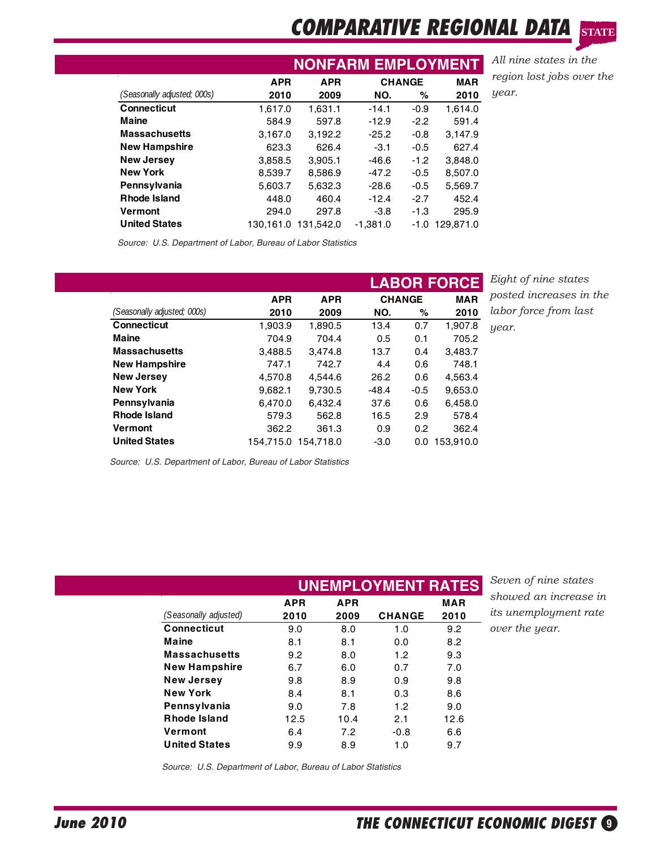## **COMPARATIVE REGIONAL DATA STATE**

|                             |            | <b>NONFARM EMPLOYMENT</b>   |            |        |           |  |  |  |
|-----------------------------|------------|-----------------------------|------------|--------|-----------|--|--|--|
|                             | <b>APR</b> | <b>CHANGE</b><br><b>APR</b> |            |        |           |  |  |  |
| (Seasonally adjusted; 000s) | 2010       | 2009                        | NO.        | ℅      | 2010      |  |  |  |
| <b>Connecticut</b>          | 1,617.0    | 1,631.1                     | $-14.1$    | $-0.9$ | 1.614.0   |  |  |  |
| <b>Maine</b>                | 584.9      | 597.8                       | $-12.9$    | $-2.2$ | 591.4     |  |  |  |
| <b>Massachusetts</b>        | 3,167.0    | 3.192.2                     | $-25.2$    | $-0.8$ | 3.147.9   |  |  |  |
| <b>New Hampshire</b>        | 623.3      | 626.4                       | $-3.1$     | $-0.5$ | 627.4     |  |  |  |
| <b>New Jersey</b>           | 3,858.5    | 3.905.1                     | $-46.6$    | $-1.2$ | 3.848.0   |  |  |  |
| <b>New York</b>             | 8.539.7    | 8.586.9                     | $-47.2$    | $-0.5$ | 8.507.0   |  |  |  |
| Pennsylvania                | 5,603.7    | 5,632.3                     | $-28.6$    | -0.5   | 5,569.7   |  |  |  |
| <b>Rhode Island</b>         | 448.0      | 460.4                       | $-12.4$    | $-2.7$ | 452.4     |  |  |  |
| <b>Vermont</b>              | 294.0      | 297.8                       | $-3.8$     | $-1.3$ | 295.9     |  |  |  |
| <b>United States</b>        | 130.161.0  | 131.542.0                   | $-1.381.0$ | $-1.0$ | 129.871.0 |  |  |  |
|                             |            |                             |            |        |           |  |  |  |

*All nine states in the region lost jobs over the year.*

*Source: U.S. Department of Labor, Bureau of Labor Statistics*

|                             |            |            |         |               | <b>LABOR FORCE</b> |
|-----------------------------|------------|------------|---------|---------------|--------------------|
|                             | <b>APR</b> | <b>APR</b> |         | <b>CHANGE</b> | <b>MAR</b>         |
| (Seasonally adjusted; 000s) | 2010       | 2009       | NO.     | ℅             | 2010               |
| <b>Connecticut</b>          | 1,903.9    | 1,890.5    | 13.4    | 0.7           | 1,907.8            |
| <b>Maine</b>                | 704.9      | 704.4      | 0.5     | 0.1           | 705.2              |
| <b>Massachusetts</b>        | 3,488.5    | 3.474.8    | 13.7    | 0.4           | 3,483.7            |
| <b>New Hampshire</b>        | 747.1      | 742.7      | 4.4     | 0.6           | 748.1              |
| <b>New Jersey</b>           | 4.570.8    | 4.544.6    | 26.2    | 0.6           | 4,563.4            |
| <b>New York</b>             | 9.682.1    | 9.730.5    | $-48.4$ | $-0.5$        | 9,653.0            |
| Pennsylvania                | 6.470.0    | 6.432.4    | 37.6    | 0.6           | 6,458.0            |
| <b>Rhode Island</b>         | 579.3      | 562.8      | 16.5    | 2.9           | 578.4              |
| <b>Vermont</b>              | 362.2      | 361.3      | 0.9     | 0.2           | 362.4              |
| <b>United States</b>        | 154.715.0  | 154.718.0  | $-3.0$  | 0.0           | 153.910.0          |

*Eight of nine states posted increases in the labor force from last year.*

*Source: U.S. Department of Labor, Bureau of Labor Statistics*

| (Seasonally adjusted) | <b>APR</b> | <b>APR</b> |               |                    |                              |
|-----------------------|------------|------------|---------------|--------------------|------------------------------|
|                       | 2010       | 2009       | <b>CHANGE</b> | <b>MAR</b><br>2010 | <i>its unemployment rate</i> |
| <b>Connecticut</b>    | 9.0        | 8.0        | 1.0           | 9.2                | over the year.               |
| Maine                 | 8.1        | 8.1        | 0.0           | 8.2                |                              |
| <b>Massachusetts</b>  | 9.2        | 8.0        | 1.2           | 9.3                |                              |
| <b>New Hampshire</b>  | 6.7        | 6.0        | 0.7           | 7.0                |                              |
| <b>New Jersey</b>     | 9.8        | 8.9        | 0.9           | 9.8                |                              |
| <b>New York</b>       | 8.4        | 8.1        | 0.3           | 8.6                |                              |
| Pennsylvania          | 9.0        | 7.8        | 1.2           | 9.0                |                              |
| <b>Rhode Island</b>   | 12.5       | 10.4       | 2.1           | 12.6               |                              |
| Vermont               | 6.4        | 7.2        | $-0.8$        | 6.6                |                              |
| <b>United States</b>  | 9.9        | 8.9        | 1.0           | 9.7                |                              |

*Source: U.S. Department of Labor, Bureau of Labor Statistics*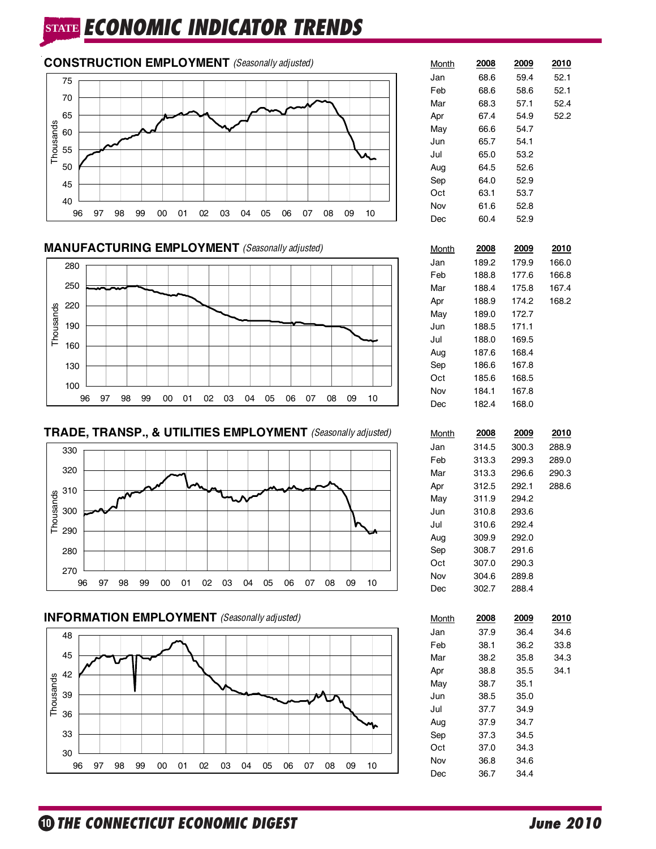# **STATE ECONOMIC INDICATOR TRENDS**



## **MANUFACTURING EMPLOYMENT** (Seasonally adjusted)







## **INFORMATION EMPLOYMENT** *(Seasonally adjusted)*



| <u>Month</u> | 2008  | 2009  | 2010  |
|--------------|-------|-------|-------|
| Jan          | 68.6  | 59.4  | 52.1  |
| Feb          | 68.6  | 58.6  | 52.1  |
| Mar          | 68.3  | 57.1  | 52.4  |
| Apr          | 67.4  | 54.9  | 52.2  |
| May          | 66.6  | 54.7  |       |
| Jun          | 65.7  | 54.1  |       |
| Jul          | 65.0  | 53.2  |       |
| Aug          | 64.5  | 52.6  |       |
| Sep          | 64.0  | 52.9  |       |
| Oct          | 63.1  | 53.7  |       |
| Nov          | 61.6  | 52.8  |       |
| Dec          | 60.4  | 52.9  |       |
| <u>Month</u> | 2008  | 2009  | 2010  |
| Jan          | 189.2 | 179.9 | 166.0 |
| Feb          | 188.8 | 177.6 | 166.8 |
| Mar          | 188.4 | 175.8 | 167.4 |
| Apr          | 188.9 | 174.2 | 168.2 |
| May          | 189.0 | 172.7 |       |
| Jun          | 188.5 | 171.1 |       |
| Jul          | 188.0 | 169.5 |       |
| Aug          | 187.6 | 168.4 |       |
| Sep          | 186.6 | 167.8 |       |
| Oct          | 185.6 | 168.5 |       |
| Nov          | 184.1 | 167.8 |       |
| Dec          | 182.4 | 168.0 |       |
|              |       |       |       |
| <u>Month</u> | 2008  | 2009  | 2010  |
| Jan          | 314.5 | 300.3 | 288.9 |
| Feb          | 313.3 | 299.3 | 289.0 |
| Mar          | 313.3 | 296.6 | 290.3 |
| Apr          | 312.5 | 292.1 | 288.6 |
| May          | 311.9 | 294.2 |       |
| Jun          | 310.8 | 293.6 |       |
| Jul          | 310.6 | 292.4 |       |
| Aug          | 309.9 | 292.0 |       |
| Sep          | 308.7 | 291.6 |       |
| Oct          | 307.0 | 290.3 |       |
| Nov          | 304.6 | 289.8 |       |
| Dec          | 302.7 | 288.4 |       |
| <u>Month</u> | 2008  | 2009  | 2010  |
| Jan          | 37.9  | 36.4  | 34.6  |
| Feb          | 38.1  | 36.2  | 33.8  |
| Mar          | 38.2  | 35.8  | 34.3  |
| Apr          | 38.8  | 35.5  | 34.1  |
| May          | 38.7  | 35.1  |       |
| Jun          | 38.5  | 35.0  |       |
| Jul          | 37.7  | 34.9  |       |
| Aug          | 37.9  | 34.7  |       |
| Sep          | 37.3  | 34.5  |       |
| Oct          | 37.0  | 34.3  |       |
| Nov          | 36.8  | 34.6  |       |
| Dec          | 36.7  | 34.4  |       |
|              |       |       |       |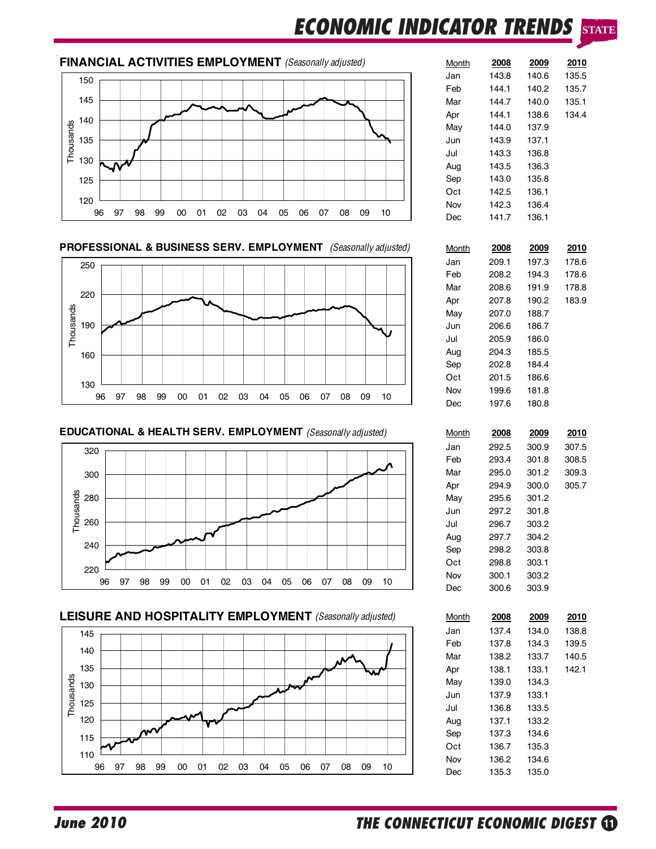# **ECONOMIC INDICATOR TRENDS STATE**

## **FINANCIAL ACTIVITIES EMPLOYMENT** *(Seasonally adjusted)*



### **PROFESSIONAL & BUSINESS SERV. EMPLOYMENT** *(Seasonally adjusted)*



**EDUCATIONAL & HEALTH SERV. EMPLOYMENT** *(Seasonally adjusted)* 







| <u>Month</u> | 2008  | 2009  | 2010  |
|--------------|-------|-------|-------|
| Jan          | 143.8 | 140.6 | 135.5 |
| Feb          | 144.1 | 140.2 | 135.7 |
| Mar          | 144.7 | 140.0 | 135.1 |
| Apr          | 144.1 | 138.6 | 134.4 |
| May          | 144.0 | 137.9 |       |
| Jun          | 143.9 | 137.1 |       |
| Jul          | 143.3 | 136.8 |       |
| Aug          | 143.5 | 136.3 |       |
| Sep          | 143.0 | 135.8 |       |
| Oct          | 142.5 | 136.1 |       |
| Nov          | 142.3 | 136.4 |       |
| Dec          | 141.7 | 136.1 |       |
|              |       |       |       |
| <b>Month</b> | 2008  | 2009  | 2010  |
| Jan          | 209.1 | 197.3 | 178.6 |
| Feb          | 208.2 | 194.3 | 178.6 |
| Mar          | 208.6 | 191.9 | 178.8 |
| Apr          | 207.8 | 190.2 | 183.9 |
| May          | 207.0 | 188.7 |       |
| Jun          | 206.6 | 186.7 |       |
| Jul          | 205.9 | 186.0 |       |
| Aug          | 204.3 | 185.5 |       |
| Sep          | 202.8 | 184.4 |       |
| Oct          | 201.5 | 186.6 |       |
| Nov          | 199.6 | 181.8 |       |
|              |       |       |       |
| Dec          | 197.6 | 180.8 |       |
|              |       |       |       |

| Month | 2008  | 2009  | 2010  |
|-------|-------|-------|-------|
| Jan   | 292.5 | 300.9 | 307.5 |
| Feb   | 293.4 | 301.8 | 308.5 |
| Mar   | 295.0 | 301.2 | 309.3 |
| Apr   | 294.9 | 300.0 | 305.7 |
| Mav   | 295.6 | 301.2 |       |
| Jun   | 297.2 | 301.8 |       |
| Jul   | 296.7 | 303.2 |       |
| Aug   | 297.7 | 304.2 |       |
| Sep   | 298.2 | 303.8 |       |
| Oct   | 298.8 | 303.1 |       |
| Nov   | 300.1 | 303.2 |       |
| Dec   | 300.6 | 303.9 |       |

| Month | 2008  | 2009  | 2010  |
|-------|-------|-------|-------|
| Jan   | 137.4 | 134.0 | 138.8 |
| Feb   | 137.8 | 134.3 | 139.5 |
| Mar   | 138.2 | 133.7 | 140.5 |
| Apr   | 138.1 | 133.1 | 142.1 |
| May   | 139.0 | 134.3 |       |
| Jun   | 137.9 | 133.1 |       |
| Jul   | 136.8 | 133.5 |       |
| Aug   | 137.1 | 133.2 |       |
| Sep   | 137.3 | 134.6 |       |
| Oct   | 136.7 | 135.3 |       |
| Nov   | 136.2 | 134.6 |       |
| Dec   | 135.3 | 135.0 |       |
|       |       |       |       |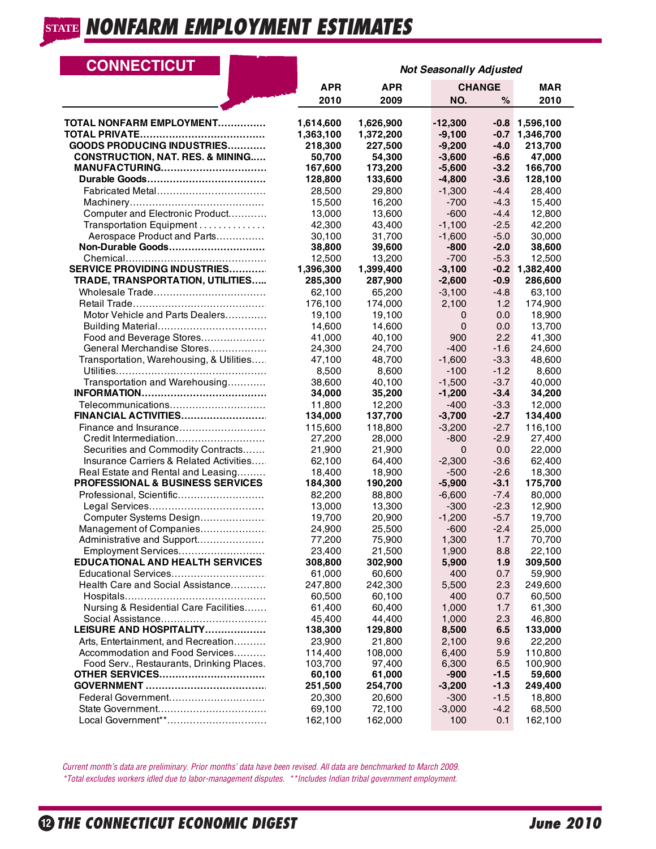| <b>CONNECTICUT</b>                          | <b>Not Seasonally Adjusted</b> |                        |                       |                  |                        |
|---------------------------------------------|--------------------------------|------------------------|-----------------------|------------------|------------------------|
|                                             | <b>APR</b>                     | <b>APR</b>             |                       | <b>CHANGE</b>    | <b>MAR</b>             |
|                                             | 2010                           | 2009                   | NO.                   | %                | 2010                   |
| <b>TOTAL NONFARM EMPLOYMENT</b>             | 1,614,600<br>1,363,100         | 1,626,900<br>1,372,200 | $-12,300$<br>$-9,100$ | $-0.8$<br>$-0.7$ | 1,596,100<br>1,346,700 |
| <b>GOODS PRODUCING INDUSTRIES</b>           | 218,300                        | 227,500                | $-9,200$              | $-4.0$           | 213,700                |
| <b>CONSTRUCTION, NAT. RES. &amp; MINING</b> | 50,700                         | 54,300                 | $-3,600$              | $-6.6$           | 47,000                 |
| <b>MANUFACTURING</b>                        | 167,600                        | 173,200                | $-5,600$              | $-3.2$           | 166,700                |
|                                             | 128,800                        | 133,600                | $-4,800$              | $-3.6$           | 128,100                |
| Fabricated Metal                            | 28,500                         | 29,800                 | $-1,300$              | $-4.4$           | 28,400                 |
|                                             | 15,500                         | 16,200                 | $-700$                | $-4.3$           | 15,400                 |
| Computer and Electronic Product             | 13,000                         | 13,600                 | $-600$                | $-4.4$           | 12,800                 |
| Transportation Equipment                    | 42,300                         | 43,400                 | $-1,100$              | $-2.5$           | 42,200                 |
| Aerospace Product and Parts                 | 30,100                         | 31,700                 | $-1,600$              | $-5.0$           | 30,000                 |
| Non-Durable Goods                           | 38,800                         | 39,600                 | $-800$                | $-2.0$           | 38,600                 |
|                                             | 12,500                         | 13,200                 | $-700$                | $-5.3$           | 12,500                 |
| <b>SERVICE PROVIDING INDUSTRIES</b>         | 1,396,300                      | 1,399,400              | $-3,100$              | $-0.2$           | 1,382,400              |
| <b>TRADE, TRANSPORTATION, UTILITIES</b>     | 285,300                        | 287,900                | $-2,600$              | $-0.9$           | 286,600                |
|                                             | 62,100                         | 65,200                 | $-3,100$              | $-4.8$           | 63,100                 |
|                                             | 176,100                        | 174,000                | 2,100                 | 1.2              | 174,900                |
| Motor Vehicle and Parts Dealers             | 19,100                         | 19.100                 | 0                     | 0.0              | 18,900                 |
|                                             | 14,600                         | 14,600                 | 0                     | 0.0              | 13,700                 |
| Food and Beverage Stores                    | 41,000                         | 40,100                 | 900                   | 2.2              | 41,300                 |
| General Merchandise Stores                  | 24,300                         | 24,700                 | $-400$                | $-1.6$           | 24,600                 |
| Transportation, Warehousing, & Utilities    | 47,100                         | 48.700                 | $-1,600$              | $-3.3$           | 48,600                 |
|                                             | 8,500                          | 8,600                  | $-100$                | $-1.2$           | 8,600                  |
| Transportation and Warehousing              | 38,600                         | 40,100                 | $-1,500$              | $-3.7$           | 40,000                 |
|                                             | 34,000                         | 35,200                 | $-1,200$              | $-3.4$           | 34,200                 |
| Telecommunications                          | 11,800                         | 12,200                 | $-400$                | $-3.3$           | 12,000                 |
| FINANCIAL ACTIVITIES                        | 134,000                        | 137,700                | $-3,700$              | $-2.7$           | 134,400                |
| Finance and Insurance                       | 115,600                        | 118,800                | $-3,200$              | $-2.7$           | 116,100                |
| Credit Intermediation                       | 27,200                         | 28,000                 | $-800$                | $-2.9$           | 27,400                 |
| Securities and Commodity Contracts          | 21,900                         | 21,900                 | 0                     | 0.0              | 22,000                 |
| Insurance Carriers & Related Activities     | 62,100                         | 64,400                 | $-2,300$              | $-3.6$           | 62,400                 |
| Real Estate and Rental and Leasing          | 18,400                         | 18,900                 | $-500$                | $-2.6$           | 18,300                 |
| PROFESSIONAL & BUSINESS SERVICES            | 184,300                        | 190,200                | $-5,900$              | $-3.1$           | 175,700                |
| Professional, Scientific                    | 82,200                         | 88,800                 | $-6,600$              | $-7.4$           | 80,000                 |
|                                             | 13,000                         | 13,300                 | $-300$                | $-2.3$           | 12,900                 |
| Computer Systems Design                     | 19,700                         | 20,900                 | $-1,200$              | $-5.7$           | 19,700                 |
| Management of Companies                     | 24,900                         | 25,500                 | $-600$                | $-2.4$           | 25,000                 |
| Administrative and Support                  | 77,200                         | 75,900                 | 1,300                 | 1.7              | 70,700                 |
| Employment Services                         | 23,400                         | 21,500                 | 1,900                 | 8.8              | 22,100                 |
| <b>EDUCATIONAL AND HEALTH SERVICES</b>      | 308,800                        | 302,900                | 5,900                 | 1.9              | 309,500                |
| Educational Services                        | 61,000                         | 60,600                 | 400                   | 0.7              | 59,900                 |
| Health Care and Social Assistance           | 247,800                        | 242,300                | 5,500                 | 2.3              | 249,600                |
|                                             | 60,500                         | 60,100                 | 400                   | 0.7              | 60,500                 |
| Nursing & Residential Care Facilities       | 61,400                         | 60,400                 | 1,000                 | 1.7              | 61,300                 |
|                                             | 45,400                         | 44,400                 | 1,000                 | 2.3              | 46,800                 |
| LEISURE AND HOSPITALITY                     | 138,300                        | 129,800                | 8,500                 | 6.5              | 133,000                |
| Arts, Entertainment, and Recreation         | 23,900                         | 21,800                 | 2,100                 | 9.6              | 22,200                 |
| Accommodation and Food Services             | 114,400                        | 108,000                | 6,400                 | 5.9              | 110,800                |
| Food Serv., Restaurants, Drinking Places.   | 103.700                        | 97,400                 | 6,300                 | 6.5              | 100,900                |
| <b>OTHER SERVICES</b>                       | 60,100                         | 61,000                 | $-900$                | -1.5             | 59,600                 |
|                                             | 251,500                        | 254,700                | $-3,200$              | $-1.3$           | 249,400                |
| Federal Government                          | 20,300                         | 20,600                 | $-300$                | $-1.5$           | 18,800                 |
|                                             | 69,100                         | 72,100                 | $-3,000$              | $-4.2$           | 68,500                 |
| Local Government**                          | 162,100                        | 162,000                | 100                   | 0.1              | 162,100                |
|                                             |                                |                        |                       |                  |                        |

 *Current month's data are preliminary. Prior months' data have been revised. All data are benchmarked to March 2009. \*Total excludes workers idled due to labor-management disputes. \*\*Includes Indian tribal government employment.*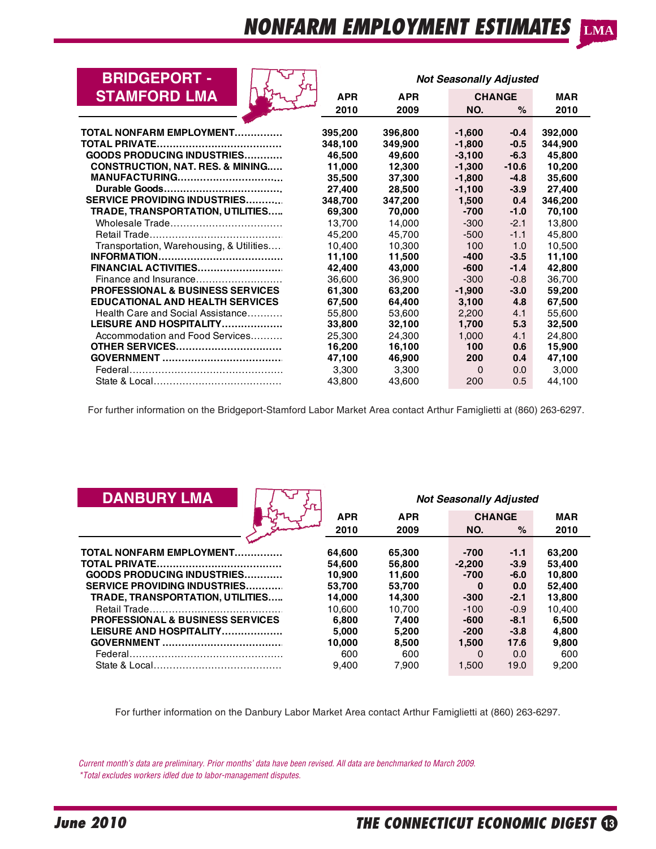| <b>BRIDGEPORT -</b>                         | <b>Not Seasonally Adjusted</b> |            |          |               |            |
|---------------------------------------------|--------------------------------|------------|----------|---------------|------------|
| <b>STAMFORD LMA</b>                         | <b>APR</b>                     | <b>APR</b> |          | <b>CHANGE</b> | <b>MAR</b> |
|                                             | 2010                           | 2009       | NO.      | $\%$          | 2010       |
|                                             |                                |            |          |               |            |
| <b>TOTAL NONFARM EMPLOYMENT</b>             | 395,200                        | 396,800    | $-1,600$ | $-0.4$        | 392,000    |
|                                             | 348.100                        | 349.900    | $-1,800$ | $-0.5$        | 344,900    |
| <b>GOODS PRODUCING INDUSTRIES</b>           | 46,500                         | 49,600     | $-3,100$ | $-6.3$        | 45,800     |
| <b>CONSTRUCTION, NAT. RES. &amp; MINING</b> | 11,000                         | 12,300     | $-1,300$ | $-10.6$       | 10,200     |
| <b>MANUFACTURING</b>                        | 35,500                         | 37,300     | $-1,800$ | $-4.8$        | 35,600     |
|                                             | 27,400                         | 28,500     | $-1,100$ | $-3.9$        | 27,400     |
| <b>SERVICE PROVIDING INDUSTRIES</b>         | 348,700                        | 347,200    | 1,500    | 0.4           | 346,200    |
| TRADE, TRANSPORTATION, UTILITIES            | 69.300                         | 70,000     | $-700$   | $-1.0$        | 70,100     |
| Wholesale Trade                             | 13.700                         | 14,000     | $-300$   | $-2.1$        | 13,800     |
|                                             | 45,200                         | 45.700     | $-500$   | $-1.1$        | 45,800     |
| Transportation, Warehousing, & Utilities    | 10.400                         | 10.300     | 100      | 1.0           | 10,500     |
|                                             | 11,100                         | 11,500     | $-400$   | $-3.5$        | 11,100     |
| FINANCIAL ACTIVITIES                        | 42,400                         | 43,000     | $-600$   | $-1.4$        | 42,800     |
| Finance and Insurance                       | 36,600                         | 36,900     | $-300$   | $-0.8$        | 36.700     |
| <b>PROFESSIONAL &amp; BUSINESS SERVICES</b> | 61,300                         | 63,200     | $-1,900$ | $-3.0$        | 59,200     |
| <b>EDUCATIONAL AND HEALTH SERVICES</b>      | 67.500                         | 64,400     | 3,100    | 4.8           | 67,500     |
| Health Care and Social Assistance           | 55,800                         | 53,600     | 2.200    | 4.1           | 55,600     |
| LEISURE AND HOSPITALITY                     | 33,800                         | 32,100     | 1,700    | 5.3           | 32,500     |
| Accommodation and Food Services             | 25,300                         | 24,300     | 1,000    | 4.1           | 24,800     |
| <b>OTHER SERVICES</b>                       | 16,200                         | 16,100     | 100      | 0.6           | 15,900     |
|                                             | 47,100                         | 46,900     | 200      | 0.4           | 47,100     |
|                                             | 3,300                          | 3,300      | 0        | 0.0           | 3,000      |
|                                             | 43,800                         | 43,600     | 200      | 0.5           | 44,100     |

For further information on the Bridgeport-Stamford Labor Market Area contact Arthur Famiglietti at (860) 263-6297.

| <b>DANBURY LMA</b>                          | <b>Not Seasonally Adjusted</b> |            |          |               |            |
|---------------------------------------------|--------------------------------|------------|----------|---------------|------------|
|                                             | <b>APR</b>                     | <b>APR</b> |          | <b>CHANGE</b> | <b>MAR</b> |
|                                             | 2010                           | 2009       | NO.      | $\%$          | 2010       |
|                                             |                                |            |          |               |            |
| <b>TOTAL NONFARM EMPLOYMENT</b>             | 64,600                         | 65,300     | $-700$   | $-1.1$        | 63,200     |
|                                             | 54,600                         | 56,800     | $-2.200$ | $-3.9$        | 53,400     |
| <b>GOODS PRODUCING INDUSTRIES</b>           | 10.900                         | 11.600     | $-700$   | $-6.0$        | 10.800     |
| <b>SERVICE PROVIDING INDUSTRIES</b>         | 53.700                         | 53.700     | $\bf{0}$ | 0.0           | 52,400     |
| TRADE, TRANSPORTATION, UTILITIES            | 14,000                         | 14,300     | $-300$   | $-2.1$        | 13,800     |
|                                             | 10.600                         | 10.700     | $-100$   | $-0.9$        | 10.400     |
| <b>PROFESSIONAL &amp; BUSINESS SERVICES</b> | 6.800                          | 7.400      | -600     | $-8.1$        | 6,500      |
| LEISURE AND HOSPITALITY                     | 5.000                          | 5,200      | $-200$   | $-3.8$        | 4,800      |
|                                             | 10.000                         | 8,500      | 1.500    | 17.6          | 9,800      |
|                                             | 600                            | 600        | $\Omega$ | 0.0           | 600        |
|                                             | 9.400                          | 7.900      | 1.500    | 19.0          | 9.200      |

For further information on the Danbury Labor Market Area contact Arthur Famiglietti at (860) 263-6297.

 *Current month's data are preliminary. Prior months' data have been revised. All data are benchmarked to March 2009. \*Total excludes workers idled due to labor-management disputes.*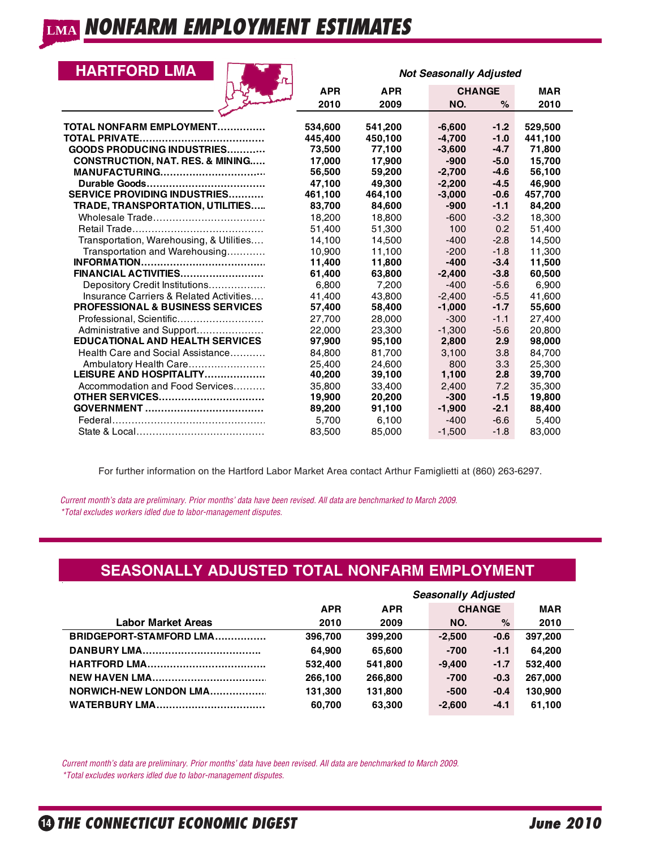## **HARTFORD LMA**

| <b>HARTFORD LMA</b>                                |                  |                   | <b>Not Seasonally Adjusted</b> |                  |                  |
|----------------------------------------------------|------------------|-------------------|--------------------------------|------------------|------------------|
|                                                    | <b>APR</b>       | <b>APR</b>        | <b>CHANGE</b>                  |                  | <b>MAR</b>       |
|                                                    | 2010             | 2009              | NO.                            | $\%$             | 2010             |
|                                                    |                  |                   |                                |                  |                  |
| TOTAL NONFARM EMPLOYMENT                           | 534,600          | 541,200           | $-6,600$                       | $-1.2$           | 529,500          |
| TOTAL PRIVATE<br><b>GOODS PRODUCING INDUSTRIES</b> | 445,400          | 450,100<br>77,100 | $-4.700$                       | $-1.0$<br>$-4.7$ | 441,100          |
| <b>CONSTRUCTION, NAT. RES. &amp; MINING</b>        | 73,500<br>17,000 | 17,900            | $-3,600$<br>$-900$             | $-5.0$           | 71,800<br>15,700 |
| <b>MANUFACTURING</b>                               | 56,500           | 59,200            | $-2,700$                       | $-4.6$           | 56,100           |
|                                                    | 47,100           | 49.300            | $-2.200$                       | $-4.5$           | 46.900           |
| <b>SERVICE PROVIDING INDUSTRIES</b>                | 461,100          | 464,100           | $-3,000$                       | $-0.6$           | 457,700          |
| TRADE, TRANSPORTATION, UTILITIES                   | 83,700           | 84,600            | $-900$                         | $-1.1$           | 84,200           |
|                                                    | 18,200           | 18.800            | $-600$                         | $-3.2$           | 18,300           |
|                                                    | 51,400           | 51.300            | 100                            | 0.2              | 51.400           |
| Transportation, Warehousing, & Utilities           | 14,100           | 14,500            | $-400$                         | $-2.8$           | 14,500           |
| Transportation and Warehousing                     | 10,900           | 11.100            | $-200$                         | $-1.8$           | 11.300           |
|                                                    | 11,400           | 11,800            | $-400$                         | $-3.4$           | 11,500           |
| FINANCIAL ACTIVITIES                               | 61,400           | 63,800            | $-2,400$                       | $-3.8$           | 60,500           |
| Depository Credit Institutions                     | 6,800            | 7,200             | $-400$                         | $-5.6$           | 6,900            |
| Insurance Carriers & Related Activities            | 41.400           | 43.800            | $-2.400$                       | $-5.5$           | 41.600           |
| <b>PROFESSIONAL &amp; BUSINESS SERVICES</b>        | 57,400           | 58,400            | $-1,000$                       | $-1.7$           | 55,600           |
| Professional. Scientific                           | 27.700           | 28,000            | $-300$                         | $-1.1$           | 27.400           |
| Administrative and Support                         | 22,000           | 23,300            | $-1,300$                       | $-5.6$           | 20,800           |
| <b>EDUCATIONAL AND HEALTH SERVICES</b>             | 97,900           | 95,100            | 2,800                          | 2.9              | 98,000           |
| Health Care and Social Assistance                  | 84.800           | 81.700            | 3.100                          | 3.8              | 84.700           |
| Ambulatory Health Care                             | 25,400           | 24,600            | 800                            | 3.3              | 25,300           |
| LEISURE AND HOSPITALITY                            | 40,200           | 39,100            | 1,100                          | 2.8              | 39,700           |
| Accommodation and Food Services                    | 35.800           | 33.400            | 2.400                          | 7.2              | 35.300           |
| <b>OTHER SERVICES</b>                              | 19,900           | 20,200            | $-300$                         | $-1.5$           | 19,800           |
|                                                    | 89,200           | 91,100            | $-1,900$                       | $-2.1$           | 88,400           |
|                                                    | 5,700            | 6,100             | $-400$                         | $-6.6$           | 5,400            |
|                                                    | 83,500           | 85,000            | $-1,500$                       | $-1.8$           | 83,000           |

For further information on the Hartford Labor Market Area contact Arthur Famiglietti at (860) 263-6297.

 *Current month's data are preliminary. Prior months' data have been revised. All data are benchmarked to March 2009. \*Total excludes workers idled due to labor-management disputes.*

# **SEASONALLY ADJUSTED TOTAL NONFARM EMPLOYMENT**

|                           |            | <b>Seasonally Adjusted</b> |               |        |            |  |  |  |  |  |
|---------------------------|------------|----------------------------|---------------|--------|------------|--|--|--|--|--|
|                           | <b>APR</b> | <b>APR</b>                 | <b>CHANGE</b> |        | <b>MAR</b> |  |  |  |  |  |
| <b>Labor Market Areas</b> | 2010       | 2009                       | NO.           | $\%$   | 2010       |  |  |  |  |  |
| BRIDGEPORT-STAMFORD LMA   | 396.700    | 399.200                    | $-2.500$      | $-0.6$ | 397.200    |  |  |  |  |  |
|                           | 64.900     | 65.600                     | $-700$        | $-1.1$ | 64.200     |  |  |  |  |  |
|                           | 532.400    | 541.800                    | $-9.400$      | $-1.7$ | 532.400    |  |  |  |  |  |
|                           | 266.100    | 266,800                    | $-700$        | $-0.3$ | 267.000    |  |  |  |  |  |
| NORWICH-NEW LONDON LMA    | 131.300    | 131.800                    | $-500$        | $-0.4$ | 130.900    |  |  |  |  |  |
| <b>WATERBURY LMA</b>      | 60.700     | 63.300                     | $-2.600$      | $-4.1$ | 61.100     |  |  |  |  |  |

 *Current month's data are preliminary. Prior months' data have been revised. All data are benchmarked to March 2009. \*Total excludes workers idled due to labor-management disputes.*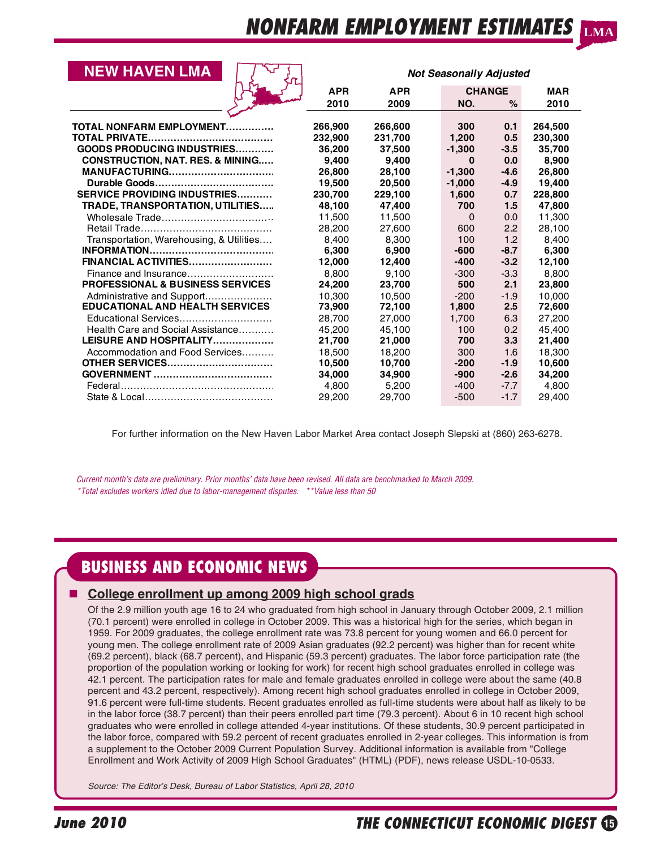| <b>NEW HAVEN LMA</b>                        |            |            | <b>Not Seasonally Adjusted</b> |                  |            |
|---------------------------------------------|------------|------------|--------------------------------|------------------|------------|
|                                             | <b>APR</b> | <b>APR</b> |                                | <b>CHANGE</b>    | <b>MAR</b> |
|                                             | 2010       | 2009       | NO.                            | $\%$             | 2010       |
|                                             |            |            |                                |                  |            |
| <b>TOTAL NONFARM EMPLOYMENT</b>             | 266,900    | 266,600    | 300                            | 0.1              | 264,500    |
|                                             | 232.900    | 231,700    | 1,200                          | 0.5              | 230,300    |
| <b>GOODS PRODUCING INDUSTRIES</b>           | 36,200     | 37.500     | $-1.300$                       | $-3.5$           | 35,700     |
| <b>CONSTRUCTION, NAT. RES. &amp; MINING</b> | 9.400      | 9.400      | $\Omega$                       | 0.0              | 8,900      |
| <b>MANUFACTURING</b>                        | 26,800     | 28,100     | $-1.300$                       | $-4.6$           | 26,800     |
|                                             | 19,500     | 20,500     | $-1,000$                       | $-4.9$           | 19,400     |
| <b>SERVICE PROVIDING INDUSTRIES</b>         | 230,700    | 229,100    | 1,600                          | 0.7              | 228,800    |
| TRADE, TRANSPORTATION, UTILITIES            | 48,100     | 47.400     | 700                            | 1.5              | 47,800     |
| Wholesale Trade                             | 11,500     | 11,500     | $\Omega$                       | 0.0              | 11,300     |
|                                             | 28,200     | 27.600     | 600                            | 2.2              | 28,100     |
| Transportation, Warehousing, & Utilities    | 8.400      | 8.300      | 100                            | 1.2              | 8.400      |
|                                             | 6,300      | 6,900      | $-600$                         | $-8.7$           | 6,300      |
| FINANCIAL ACTIVITIES                        | 12,000     | 12,400     | $-400$                         | $-3.2$           | 12,100     |
| Finance and Insurance                       | 8.800      | 9.100      | $-300$                         | $-3.3$           | 8.800      |
| PROFESSIONAL & BUSINESS SERVICES            | 24,200     | 23,700     | 500                            | 2.1              | 23,800     |
| Administrative and Support                  | 10,300     | 10.500     | $-200$                         | $-1.9$           | 10.000     |
| <b>EDUCATIONAL AND HEALTH SERVICES</b>      | 73,900     | 72,100     | 1,800                          | 2.5              | 72,600     |
| Educational Services                        | 28.700     | 27,000     | 1.700                          | 6.3              | 27,200     |
| Health Care and Social Assistance           | 45.200     | 45,100     | 100                            | 0.2 <sub>0</sub> | 45.400     |
| LEISURE AND HOSPITALITY                     | 21,700     | 21,000     | 700                            | 3.3              | 21,400     |
| Accommodation and Food Services             | 18.500     | 18.200     | 300                            | 1.6              | 18,300     |
| <b>OTHER SERVICES</b>                       | 10,500     | 10,700     | $-200$                         | $-1.9$           | 10,600     |
|                                             | 34.000     | 34,900     | $-900$                         | $-2.6$           | 34,200     |
|                                             | 4.800      | 5.200      | $-400$                         | $-7.7$           | 4,800      |
|                                             | 29,200     | 29.700     | $-500$                         | $-1.7$           | 29,400     |

For further information on the New Haven Labor Market Area contact Joseph Slepski at (860) 263-6278.

 *Current month's data are preliminary. Prior months' data have been revised. All data are benchmarked to March 2009. \*Total excludes workers idled due to labor-management disputes. \*\*Value less than 50*

# **BUSINESS AND ECONOMIC NEWS**

## **College enrollment up among 2009 high school grads**

Of the 2.9 million youth age 16 to 24 who graduated from high school in January through October 2009, 2.1 million (70.1 percent) were enrolled in college in October 2009. This was a historical high for the series, which began in 1959. For 2009 graduates, the college enrollment rate was 73.8 percent for young women and 66.0 percent for young men. The college enrollment rate of 2009 Asian graduates (92.2 percent) was higher than for recent white (69.2 percent), black (68.7 percent), and Hispanic (59.3 percent) graduates. The labor force participation rate (the proportion of the population working or looking for work) for recent high school graduates enrolled in college was 42.1 percent. The participation rates for male and female graduates enrolled in college were about the same (40.8 percent and 43.2 percent, respectively). Among recent high school graduates enrolled in college in October 2009, 91.6 percent were full-time students. Recent graduates enrolled as full-time students were about half as likely to be in the labor force (38.7 percent) than their peers enrolled part time (79.3 percent). About 6 in 10 recent high school graduates who were enrolled in college attended 4-year institutions. Of these students, 30.9 percent participated in the labor force, compared with 59.2 percent of recent graduates enrolled in 2-year colleges. This information is from a supplement to the October 2009 Current Population Survey. Additional information is available from "College Enrollment and Work Activity of 2009 High School Graduates" (HTML) (PDF), news release USDL-10-0533.

*Source: The Editor's Desk, Bureau of Labor Statistics, April 28, 2010*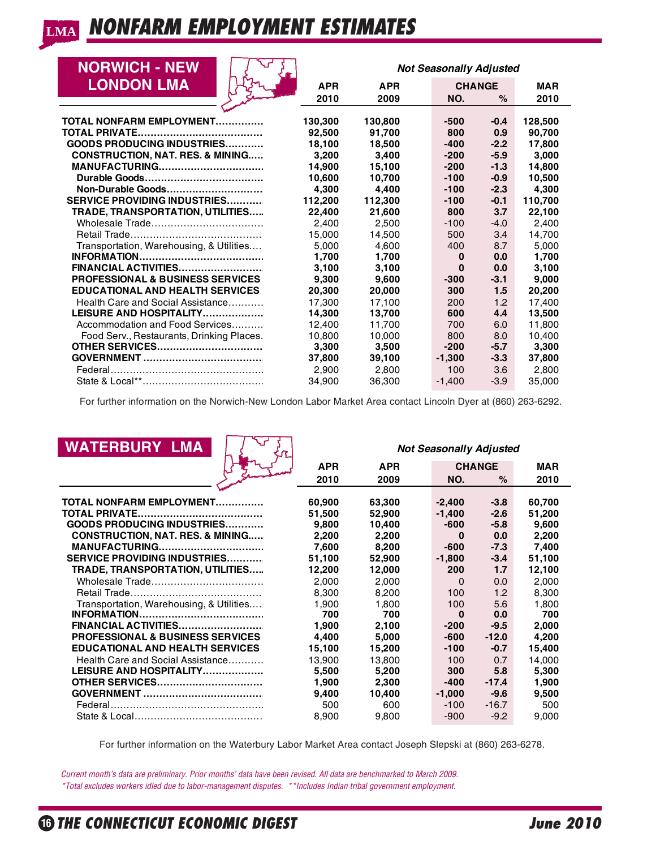| <b>NORWICH - NEW</b>                        |            | <b>Not Seasonally Adjusted</b> |               |        |            |  |  |  |  |  |
|---------------------------------------------|------------|--------------------------------|---------------|--------|------------|--|--|--|--|--|
| <b>LONDON LMA</b>                           | <b>APR</b> | <b>APR</b>                     | <b>CHANGE</b> |        | <b>MAR</b> |  |  |  |  |  |
|                                             | 2010       | 2009                           | NO.           | $\%$   | 2010       |  |  |  |  |  |
|                                             |            |                                |               |        |            |  |  |  |  |  |
| <b>TOTAL NONFARM EMPLOYMENT</b>             | 130.300    | 130.800                        | -500          | $-0.4$ | 128,500    |  |  |  |  |  |
|                                             | 92.500     | 91.700                         | 800           | 0.9    | 90.700     |  |  |  |  |  |
| <b>GOODS PRODUCING INDUSTRIES</b>           | 18.100     | 18.500                         | $-400$        | $-2.2$ | 17.800     |  |  |  |  |  |
| <b>CONSTRUCTION, NAT. RES. &amp; MINING</b> | 3.200      | 3.400                          | $-200$        | $-5.9$ | 3,000      |  |  |  |  |  |
| <b>MANUFACTURING</b>                        | 14,900     | 15,100                         | $-200$        | $-1.3$ | 14,800     |  |  |  |  |  |
|                                             | 10,600     | 10.700                         | $-100$        | $-0.9$ | 10,500     |  |  |  |  |  |
| Non-Durable Goods                           | 4,300      | 4.400                          | $-100$        | $-2.3$ | 4,300      |  |  |  |  |  |
| <b>SERVICE PROVIDING INDUSTRIES</b>         | 112,200    | 112.300                        | $-100$        | $-0.1$ | 110,700    |  |  |  |  |  |
| TRADE, TRANSPORTATION, UTILITIES            | 22,400     | 21,600                         | 800           | 3.7    | 22,100     |  |  |  |  |  |
|                                             | 2.400      | 2.500                          | $-100$        | $-4.0$ | 2.400      |  |  |  |  |  |
|                                             | 15.000     | 14,500                         | 500           | 3.4    | 14,700     |  |  |  |  |  |
| Transportation, Warehousing, & Utilities    | 5.000      | 4.600                          | 400           | 8.7    | 5.000      |  |  |  |  |  |
|                                             | 1,700      | 1,700                          | $\bf{0}$      | 0.0    | 1,700      |  |  |  |  |  |
| FINANCIAL ACTIVITIES                        | 3,100      | 3,100                          | $\bf{0}$      | 0.0    | 3,100      |  |  |  |  |  |
| <b>PROFESSIONAL &amp; BUSINESS SERVICES</b> | 9.300      | 9.600                          | $-300$        | $-3.1$ | 9.000      |  |  |  |  |  |
| <b>EDUCATIONAL AND HEALTH SERVICES</b>      | 20,300     | 20,000                         | 300           | 1.5    | 20,200     |  |  |  |  |  |
| Health Care and Social Assistance           | 17.300     | 17,100                         | 200           | 1.2    | 17,400     |  |  |  |  |  |
| LEISURE AND HOSPITALITY                     | 14.300     | 13,700                         | 600           | 4.4    | 13,500     |  |  |  |  |  |
| Accommodation and Food Services             | 12.400     | 11.700                         | 700           | 6.0    | 11.800     |  |  |  |  |  |
| Food Serv., Restaurants, Drinking Places.   | 10.800     | 10.000                         | 800           | 8.0    | 10.400     |  |  |  |  |  |
| <b>OTHER SERVICES</b>                       | 3,300      | 3,500                          | $-200$        | $-5.7$ | 3,300      |  |  |  |  |  |
|                                             | 37,800     | 39,100                         | $-1.300$      | $-3.3$ | 37,800     |  |  |  |  |  |
|                                             | 2.900      | 2.800                          | 100           | 3.6    | 2.800      |  |  |  |  |  |
|                                             | 34,900     | 36,300                         | $-1,400$      | $-3.9$ | 35,000     |  |  |  |  |  |

For further information on the Norwich-New London Labor Market Area contact Lincoln Dyer at (860) 263-6292.

| <b>WATERBURY LMA</b>                        |            |            | <b>Not Seasonally Adjusted</b> |               |            |
|---------------------------------------------|------------|------------|--------------------------------|---------------|------------|
|                                             | <b>APR</b> | <b>APR</b> |                                | <b>CHANGE</b> | <b>MAR</b> |
|                                             | 2010       | 2009       | NO.                            | $\%$          | 2010       |
|                                             |            |            |                                |               |            |
| TOTAL NONFARM EMPLOYMENT                    | 60,900     | 63,300     | $-2,400$                       | $-3.8$        | 60,700     |
|                                             | 51,500     | 52,900     | $-1,400$                       | $-2.6$        | 51,200     |
| <b>GOODS PRODUCING INDUSTRIES</b>           | 9,800      | 10,400     | $-600$                         | $-5.8$        | 9,600      |
| <b>CONSTRUCTION, NAT. RES. &amp; MINING</b> | 2,200      | 2,200      | $\bf{0}$                       | 0.0           | 2,200      |
| <b>MANUFACTURING</b>                        | 7,600      | 8,200      | $-600$                         | $-7.3$        | 7,400      |
| <b>SERVICE PROVIDING INDUSTRIES</b>         | 51,100     | 52,900     | $-1,800$                       | $-3.4$        | 51,100     |
| TRADE, TRANSPORTATION, UTILITIES            | 12,200     | 12,000     | 200                            | 1.7           | 12,100     |
|                                             | 2.000      | 2.000      | $\Omega$                       | 0.0           | 2,000      |
|                                             | 8,300      | 8,200      | 100                            | 1.2           | 8,300      |
| Transportation, Warehousing, & Utilities    | 1,900      | 1,800      | 100                            | 5.6           | 1,800      |
| <b>INFORMATION.</b><br>                     | 700        | 700        | $\bf{0}$                       | 0.0           | 700        |
| FINANCIAL ACTIVITIES                        | 1,900      | 2,100      | $-200$                         | $-9.5$        | 2,000      |
| <b>PROFESSIONAL &amp; BUSINESS SERVICES</b> | 4.400      | 5,000      | $-600$                         | $-12.0$       | 4,200      |
| <b>EDUCATIONAL AND HEALTH SERVICES</b>      | 15,100     | 15,200     | $-100$                         | $-0.7$        | 15,400     |
| Health Care and Social Assistance           | 13.900     | 13.800     | 100                            | 0.7           | 14.000     |
| LEISURE AND HOSPITALITY                     | 5,500      | 5,200      | 300                            | 5.8           | 5,300      |
| <b>OTHER SERVICES</b>                       | 1,900      | 2,300      | $-400$                         | $-17.4$       | 1,900      |
|                                             | 9,400      | 10,400     | $-1,000$                       | $-9.6$        | 9,500      |
|                                             | 500        | 600        | $-100$                         | $-16.7$       | 500        |
|                                             | 8,900      | 9,800      | $-900$                         | $-9.2$        | 9,000      |

For further information on the Waterbury Labor Market Area contact Joseph Slepski at (860) 263-6278.

 *Current month's data are preliminary. Prior months' data have been revised. All data are benchmarked to March 2009.*

 *\*Total excludes workers idled due to labor-management disputes. \*\*Includes Indian tribal government employment.*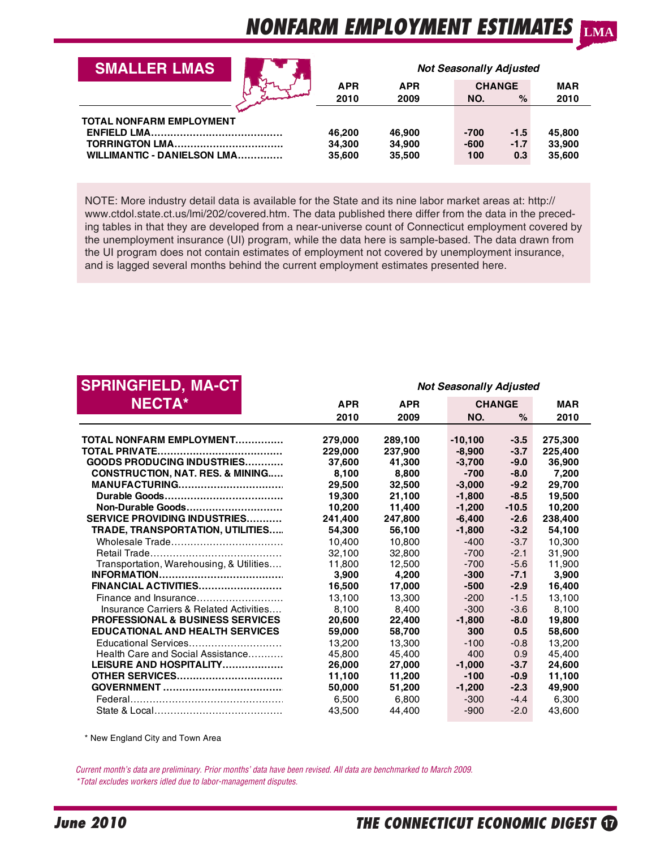| <b>SMALLER LMAS</b>                                                                            |                            |                            | <b>Not Seasonally Adjusted</b> |                         |                            |
|------------------------------------------------------------------------------------------------|----------------------------|----------------------------|--------------------------------|-------------------------|----------------------------|
|                                                                                                | <b>APR</b>                 | <b>APR</b>                 |                                | <b>CHANGE</b>           | <b>MAR</b>                 |
|                                                                                                | 2010                       | 2009                       | NO.                            | $\%$                    | 2010                       |
| <b>TOTAL NONFARM EMPLOYMENT</b><br><b>TORRINGTON LMA</b><br><b>WILLIMANTIC - DANIELSON LMA</b> | 46.200<br>34.300<br>35,600 | 46.900<br>34,900<br>35.500 | $-700$<br>$-600$<br>100        | $-1.5$<br>$-1.7$<br>0.3 | 45.800<br>33,900<br>35.600 |

NOTE: More industry detail data is available for the State and its nine labor market areas at: http:// www.ctdol.state.ct.us/lmi/202/covered.htm. The data published there differ from the data in the preceding tables in that they are developed from a near-universe count of Connecticut employment covered by the unemployment insurance (UI) program, while the data here is sample-based. The data drawn from the UI program does not contain estimates of employment not covered by unemployment insurance, and is lagged several months behind the current employment estimates presented here.

| <b>SPRINGFIELD, MA-CT</b>                   |            |                  | <b>Not Seasonally Adjusted</b> |                   |            |
|---------------------------------------------|------------|------------------|--------------------------------|-------------------|------------|
| <b>NECTA*</b>                               | <b>APR</b> | <b>APR</b>       |                                | <b>CHANGE</b>     | <b>MAR</b> |
|                                             | 2010       | 2009             | NO.                            | $\%$              | 2010       |
|                                             |            |                  |                                |                   |            |
| TOTAL NONFARM EMPLOYMENT                    | 279.000    | 289,100          | $-10.100$                      | $-3.5$            | 275,300    |
| <b>GOODS PRODUCING INDUSTRIES</b>           | 229.000    | 237.900          | $-8.900$                       | $-3.7$<br>$-9.0$  | 225,400    |
|                                             | 37,600     | 41.300           | $-3.700$                       |                   | 36,900     |
| <b>CONSTRUCTION, NAT. RES. &amp; MINING</b> | 8,100      | 8.800            | $-700$                         | $-8.0$            | 7,200      |
| <b>MANUFACTURING</b>                        | 29.500     | 32.500           | $-3,000$                       | $-9.2$            | 29.700     |
| Non-Durable Goods                           | 19,300     | 21.100<br>11.400 | $-1.800$                       | $-8.5$<br>$-10.5$ | 19,500     |
| <b>SERVICE PROVIDING INDUSTRIES</b>         | 10,200     |                  | $-1,200$                       | $-2.6$            | 10,200     |
|                                             | 241,400    | 247,800          | $-6,400$                       | $-3.2$            | 238,400    |
| TRADE, TRANSPORTATION, UTILITIES            | 54,300     | 56,100           | $-1.800$                       |                   | 54,100     |
| Wholesale Trade                             | 10.400     | 10.800           | $-400$                         | $-3.7$            | 10.300     |
|                                             | 32,100     | 32,800           | $-700$                         | $-2.1$            | 31.900     |
| Transportation, Warehousing, & Utilities    | 11.800     | 12.500           | $-700$                         | $-5.6$<br>$-7.1$  | 11.900     |
| FINANCIAL ACTIVITIES                        | 3,900      | 4,200            | $-300$                         | $-2.9$            | 3,900      |
|                                             | 16.500     | 17.000           | $-500$                         |                   | 16,400     |
| Finance and Insurance                       | 13.100     | 13.300           | $-200$                         | $-1.5$            | 13,100     |
| Insurance Carriers & Related Activities     | 8,100      | 8.400            | $-300$                         | $-3.6$            | 8,100      |
| <b>PROFESSIONAL &amp; BUSINESS SERVICES</b> | 20,600     | 22,400           | $-1,800$<br>300                | $-8.0$            | 19,800     |
| <b>EDUCATIONAL AND HEALTH SERVICES</b>      | 59,000     | 58,700           |                                | 0.5               | 58,600     |
| Educational Services                        | 13.200     | 13.300           | $-100$                         | $-0.8$            | 13.200     |
| Health Care and Social Assistance           | 45.800     | 45.400           | 400                            | 0.9               | 45.400     |
| LEISURE AND HOSPITALITY                     | 26,000     | 27,000           | $-1,000$                       | $-3.7$            | 24,600     |
| <b>OTHER SERVICES</b>                       | 11,100     | 11,200           | $-100$                         | $-0.9$            | 11,100     |
|                                             | 50,000     | 51,200           | $-1,200$                       | $-2.3$            | 49,900     |
|                                             | 6.500      | 6.800            | $-300$                         | $-4.4$            | 6.300      |
|                                             | 43.500     | 44.400           | $-900$                         | $-2.0$            | 43.600     |

\* New England City and Town Area

 *Current month's data are preliminary. Prior months' data have been revised. All data are benchmarked to March 2009. \*Total excludes workers idled due to labor-management disputes.*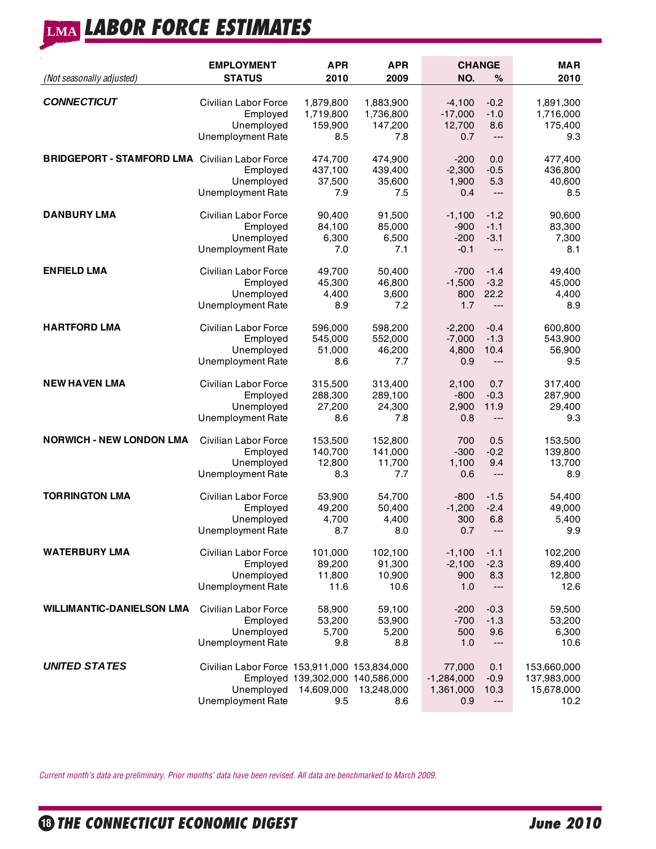# **LABOR FORCE ESTIMATES LMA**

| (Not seasonally adjusted)                             | <b>EMPLOYMENT</b><br><b>STATUS</b>                                                     | <b>APR</b><br>2010                                    | <b>APR</b><br>2009                  | <b>CHANGE</b><br>NO.                       | %                            | <b>MAR</b><br>2010                               |
|-------------------------------------------------------|----------------------------------------------------------------------------------------|-------------------------------------------------------|-------------------------------------|--------------------------------------------|------------------------------|--------------------------------------------------|
| <b>CONNECTICUT</b>                                    | Civilian Labor Force                                                                   | 1,879,800                                             | 1,883,900                           | $-4,100$                                   | $-0.2$                       | 1,891,300                                        |
|                                                       | Employed                                                                               | 1,719,800                                             | 1,736,800                           | $-17,000$                                  | $-1.0$                       | 1,716,000                                        |
|                                                       | Unemployed                                                                             | 159,900                                               | 147,200                             | 12,700                                     | 8.6                          | 175,400                                          |
|                                                       | <b>Unemployment Rate</b>                                                               | 8.5                                                   | 7.8                                 | 0.7                                        | ---                          | 9.3                                              |
| <b>BRIDGEPORT - STAMFORD LMA</b> Civilian Labor Force | Employed<br>Unemployed<br>Unemployment Rate                                            | 474,700<br>437,100<br>37,500<br>7.9                   | 474,900<br>439,400<br>35,600<br>7.5 | $-200$<br>$-2,300$<br>1,900<br>0.4         | 0.0<br>$-0.5$<br>5.3<br>---  | 477,400<br>436,800<br>40,600<br>8.5              |
| <b>DANBURY LMA</b>                                    | Civilian Labor Force                                                                   | 90,400                                                | 91,500                              | $-1,100$                                   | $-1.2$                       | 90,600                                           |
|                                                       | Employed                                                                               | 84,100                                                | 85,000                              | $-900$                                     | $-1.1$                       | 83,300                                           |
|                                                       | Unemployed                                                                             | 6,300                                                 | 6,500                               | $-200$                                     | $-3.1$                       | 7,300                                            |
|                                                       | <b>Unemployment Rate</b>                                                               | 7.0                                                   | 7.1                                 | $-0.1$                                     | ---                          | 8.1                                              |
| <b>ENFIELD LMA</b>                                    | Civilian Labor Force                                                                   | 49,700                                                | 50,400                              | $-700$                                     | $-1.4$                       | 49,400                                           |
|                                                       | Employed                                                                               | 45,300                                                | 46,800                              | $-1,500$                                   | $-3.2$                       | 45,000                                           |
|                                                       | Unemployed                                                                             | 4,400                                                 | 3,600                               | 800                                        | 22.2                         | 4,400                                            |
|                                                       | <b>Unemployment Rate</b>                                                               | 8.9                                                   | 7.2                                 | 1.7                                        | $\overline{a}$               | 8.9                                              |
| <b>HARTFORD LMA</b>                                   | Civilian Labor Force                                                                   | 596,000                                               | 598,200                             | $-2,200$                                   | $-0.4$                       | 600,800                                          |
|                                                       | Employed                                                                               | 545,000                                               | 552,000                             | $-7,000$                                   | $-1.3$                       | 543,900                                          |
|                                                       | Unemployed                                                                             | 51,000                                                | 46,200                              | 4,800                                      | 10.4                         | 56,900                                           |
|                                                       | <b>Unemployment Rate</b>                                                               | 8.6                                                   | 7.7                                 | 0.9                                        | ---                          | 9.5                                              |
| <b>NEW HAVEN LMA</b>                                  | Civilian Labor Force                                                                   | 315,500                                               | 313,400                             | 2,100                                      | 0.7                          | 317,400                                          |
|                                                       | Employed                                                                               | 288,300                                               | 289,100                             | $-800$                                     | $-0.3$                       | 287,900                                          |
|                                                       | Unemployed                                                                             | 27,200                                                | 24,300                              | 2,900                                      | 11.9                         | 29,400                                           |
|                                                       | Unemployment Rate                                                                      | 8.6                                                   | 7.8                                 | 0.8                                        | ---                          | 9.3                                              |
| <b>NORWICH - NEW LONDON LMA</b>                       | Civilian Labor Force                                                                   | 153,500                                               | 152,800                             | 700                                        | 0.5                          | 153,500                                          |
|                                                       | Employed                                                                               | 140,700                                               | 141,000                             | $-300$                                     | $-0.2$                       | 139,800                                          |
|                                                       | Unemployed                                                                             | 12,800                                                | 11,700                              | 1,100                                      | 9.4                          | 13,700                                           |
|                                                       | <b>Unemployment Rate</b>                                                               | 8.3                                                   | 7.7                                 | 0.6                                        | ---                          | 8.9                                              |
| <b>TORRINGTON LMA</b>                                 | Civilian Labor Force                                                                   | 53,900                                                | 54,700                              | $-800$                                     | $-1.5$                       | 54,400                                           |
|                                                       | Employed                                                                               | 49,200                                                | 50,400                              | $-1,200$                                   | $-2.4$                       | 49,000                                           |
|                                                       | Unemployed                                                                             | 4,700                                                 | 4,400                               | 300                                        | 6.8                          | 5,400                                            |
|                                                       | <b>Unemployment Rate</b>                                                               | 8.7                                                   | 8.0                                 | 0.7                                        | ---                          | 9.9                                              |
| <b>WATERBURY LMA</b>                                  | Civilian Labor Force                                                                   | 101,000                                               | 102,100                             | $-1,100$                                   | $-1.1$                       | 102,200                                          |
|                                                       | Employed                                                                               | 89,200                                                | 91,300                              | $-2,100$                                   | $-2.3$                       | 89,400                                           |
|                                                       | Unemployed                                                                             | 11,800                                                | 10,900                              | 900                                        | 8.3                          | 12,800                                           |
|                                                       | Unemployment Rate                                                                      | 11.6                                                  | 10.6                                | 1.0                                        | ---                          | 12.6                                             |
| <b>WILLIMANTIC-DANIELSON LMA</b>                      | Civilian Labor Force                                                                   | 58,900                                                | 59,100                              | $-200$                                     | $-0.3$                       | 59,500                                           |
|                                                       | Employed                                                                               | 53,200                                                | 53,900                              | $-700$                                     | $-1.3$                       | 53,200                                           |
|                                                       | Unemployed                                                                             | 5,700                                                 | 5,200                               | 500                                        | 9.6                          | 6,300                                            |
|                                                       | <b>Unemployment Rate</b>                                                               | 9.8                                                   | 8.8                                 | 1.0                                        | ---                          | 10.6                                             |
| <b>UNITED STATES</b>                                  | Civilian Labor Force 153,911,000 153,834,000<br>Unemployed<br><b>Unemployment Rate</b> | Employed 139,302,000 140,586,000<br>14,609,000<br>9.5 | 13,248,000<br>8.6                   | 77,000<br>$-1,284,000$<br>1,361,000<br>0.9 | 0.1<br>$-0.9$<br>10.3<br>--- | 153,660,000<br>137,983,000<br>15,678,000<br>10.2 |

*Current month's data are preliminary. Prior months' data have been revised. All data are benchmarked to March 2009.*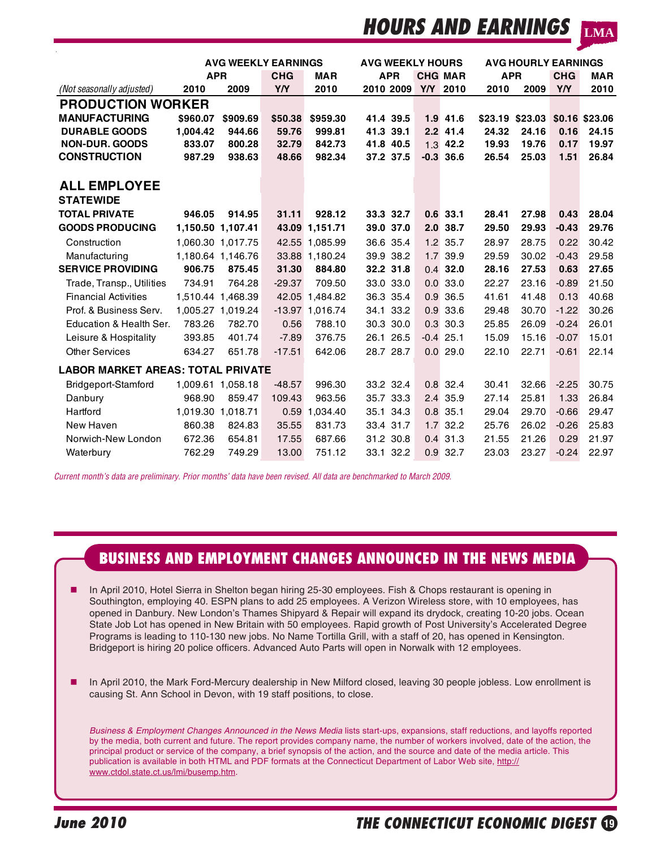# **HOURS AND EARNINGS**

**LMA**

|                                          |          | <b>AVG WEEKLY EARNINGS</b> |            |                   | <b>AVG WEEKLY HOURS</b> |     | <b>AVG HOURLY EARNINGS</b> |            |                                |            |            |
|------------------------------------------|----------|----------------------------|------------|-------------------|-------------------------|-----|----------------------------|------------|--------------------------------|------------|------------|
|                                          |          | <b>APR</b>                 | <b>CHG</b> | <b>MAR</b>        | <b>APR</b>              |     | <b>CHG MAR</b>             | <b>APR</b> |                                | <b>CHG</b> | <b>MAR</b> |
| (Not seasonally adjusted)                | 2010     | 2009                       | Y/Y        | 2010              | 2010 2009               | Y/Y | 2010                       | 2010       | 2009                           | YN         | 2010       |
| <b>PRODUCTION WORKER</b>                 |          |                            |            |                   |                         |     |                            |            |                                |            |            |
| <b>MANUFACTURING</b>                     | \$960.07 | \$909.69                   | \$50.38    | \$959.30          | 41.4 39.5               |     | $1.9$ 41.6                 |            | \$23.19 \$23.03 \$0.16 \$23.06 |            |            |
| <b>DURABLE GOODS</b>                     | 1.004.42 | 944.66                     | 59.76      | 999.81            | 41.3 39.1               | 2.2 | 41.4                       | 24.32      | 24.16                          | 0.16       | 24.15      |
| <b>NON-DUR. GOODS</b>                    | 833.07   | 800.28                     | 32.79      | 842.73            | 41.8 40.5               | 1.3 | 42.2                       | 19.93      | 19.76                          | 0.17       | 19.97      |
| <b>CONSTRUCTION</b>                      | 987.29   | 938.63                     | 48.66      | 982.34            | 37.2 37.5               |     | $-0.3$ 36.6                | 26.54      | 25.03                          | 1.51       | 26.84      |
|                                          |          |                            |            |                   |                         |     |                            |            |                                |            |            |
| <b>ALL EMPLOYEE</b>                      |          |                            |            |                   |                         |     |                            |            |                                |            |            |
| <b>STATEWIDE</b>                         |          |                            |            |                   |                         |     |                            |            |                                |            |            |
| <b>TOTAL PRIVATE</b>                     | 946.05   | 914.95                     | 31.11      | 928.12            | 33.3 32.7               |     | $0.6$ 33.1                 | 28.41      | 27.98                          | 0.43       | 28.04      |
| <b>GOODS PRODUCING</b>                   |          | 1,150.50 1,107.41          |            | 43.09 1,151.71    | 39.0 37.0               |     | 2.0 38.7                   | 29.50      | 29.93                          | $-0.43$    | 29.76      |
| Construction                             |          | 1.060.30 1.017.75          |            | 42.55 1.085.99    | 36.6 35.4               |     | $1.2$ 35.7                 | 28.97      | 28.75                          | 0.22       | 30.42      |
| Manufacturing                            |          | 1,180.64 1,146.76          |            | 33.88 1.180.24    | 39.9 38.2               |     | 1.7 39.9                   | 29.59      | 30.02                          | $-0.43$    | 29.58      |
| <b>SERVICE PROVIDING</b>                 | 906.75   | 875.45                     | 31.30      | 884.80            | 32.2 31.8               | 0.4 | 32.0                       | 28.16      | 27.53                          | 0.63       | 27.65      |
| Trade, Transp., Utilities                | 734.91   | 764.28                     | $-29.37$   | 709.50            | 33.0 33.0               |     | $0.0$ 33.0                 | 22.27      | 23.16                          | $-0.89$    | 21.50      |
| <b>Financial Activities</b>              |          | 1.510.44 1.468.39          |            | 42.05 1.484.82    | 36.3 35.4               | 0.9 | 36.5                       | 41.61      | 41.48                          | 0.13       | 40.68      |
| Prof. & Business Serv.                   |          | 1,005.27 1,019.24          |            | $-13.97$ 1.016.74 | 34.1 33.2               |     | 0.9 33.6                   | 29.48      | 30.70                          | $-1.22$    | 30.26      |
| Education & Health Ser.                  | 783.26   | 782.70                     | 0.56       | 788.10            | 30.3 30.0               | 0.3 | 30.3                       | 25.85      | 26.09                          | $-0.24$    | 26.01      |
| Leisure & Hospitality                    | 393.85   | 401.74                     | $-7.89$    | 376.75            | 26.1 26.5               |     | $-0.4$ 25.1                | 15.09      | 15.16                          | $-0.07$    | 15.01      |
| <b>Other Services</b>                    | 634.27   | 651.78                     | $-17.51$   | 642.06            | 28.7 28.7               |     | 0.029.0                    | 22.10      | 22.71                          | $-0.61$    | 22.14      |
| <b>LABOR MARKET AREAS: TOTAL PRIVATE</b> |          |                            |            |                   |                         |     |                            |            |                                |            |            |
| Bridgeport-Stamford                      |          | 1.009.61 1.058.18          | $-48.57$   | 996.30            | 33.2 32.4               |     | $0.8$ 32.4                 | 30.41      | 32.66                          | $-2.25$    | 30.75      |
| Danbury                                  | 968.90   | 859.47                     | 109.43     | 963.56            | 35.7 33.3               |     | 2.4 35.9                   | 27.14      | 25.81                          | 1.33       | 26.84      |
| Hartford                                 |          | 1.019.30 1.018.71          | 0.59       | 1.034.40          | 35.1 34.3               | 0.8 | 35.1                       | 29.04      | 29.70                          | $-0.66$    | 29.47      |
| New Haven                                | 860.38   | 824.83                     | 35.55      | 831.73            | 33.4 31.7               |     | $1.7$ 32.2                 | 25.76      | 26.02                          | $-0.26$    | 25.83      |
| Norwich-New London                       | 672.36   | 654.81                     | 17.55      | 687.66            | 31.2 30.8               |     | $0.4$ 31.3                 | 21.55      | 21.26                          | 0.29       | 21.97      |
| Waterbury                                | 762.29   | 749.29                     | 13.00      | 751.12            | 33.1 32.2               |     | $0.9$ 32.7                 | 23.03      | 23.27                          | $-0.24$    | 22.97      |

*Current month's data are preliminary. Prior months' data have been revised. All data are benchmarked to March 2009.*

# **BUSINESS AND EMPLOYMENT CHANGES ANNOUNCED IN THE NEWS MEDIA**

- In April 2010, Hotel Sierra in Shelton began hiring 25-30 employees. Fish & Chops restaurant is opening in Southington, employing 40. ESPN plans to add 25 employees. A Verizon Wireless store, with 10 employees, has opened in Danbury. New London's Thames Shipyard & Repair will expand its drydock, creating 10-20 jobs. Ocean State Job Lot has opened in New Britain with 50 employees. Rapid growth of Post University's Accelerated Degree Programs is leading to 110-130 new jobs. No Name Tortilla Grill, with a staff of 20, has opened in Kensington. Bridgeport is hiring 20 police officers. Advanced Auto Parts will open in Norwalk with 12 employees.
- In April 2010, the Mark Ford-Mercury dealership in New Milford closed, leaving 30 people jobless. Low enrollment is causing St. Ann School in Devon, with 19 staff positions, to close.

*Business & Employment Changes Announced in the News Media* lists start-ups, expansions, staff reductions, and layoffs reported by the media, both current and future. The report provides company name, the number of workers involved, date of the action, the principal product or service of the company, a brief synopsis of the action, and the source and date of the media article. This publication is available in both HTML and PDF formats at the Connecticut Department of Labor Web site, http:// www.ctdol.state.ct.us/lmi/busemp.htm.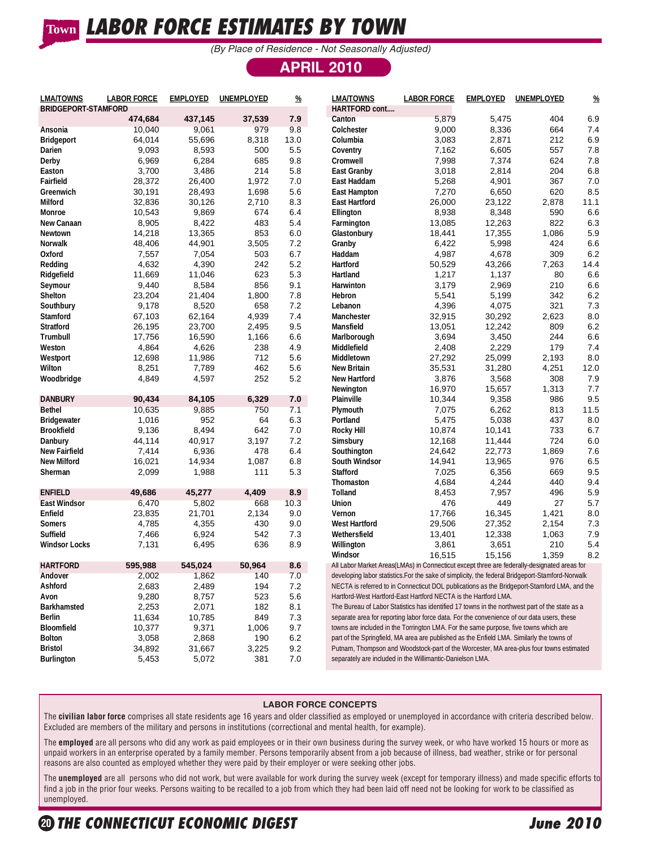# **LABOR FORCE ESTIMATES BY TOWN Town**

*(By Place of Residence - Not Seasonally Adjusted)*

## **APRIL 2010**

| <b>LMA/TOWNS</b><br><b>BRIDGEPORT-STAMFORD</b> | <b>LABOR FORCE</b> | <b>EMPLOYED</b> | UNEMPLOYED | $\frac{\%}{\%}$ | <b>LMA/TOWNS</b><br>HARTFORD cont                                                                | <b>LABOR FORCE</b> | <b>EMPLOYED</b> | UNEMPLOYED | $\%$ |
|------------------------------------------------|--------------------|-----------------|------------|-----------------|--------------------------------------------------------------------------------------------------|--------------------|-----------------|------------|------|
|                                                | 474,684            | 437,145         | 37,539     | 7.9             | Canton                                                                                           | 5,879              | 5,475           | 404        | 6.9  |
| Ansonia                                        | 10,040             | 9,061           | 979        | 9.8             | Colchester                                                                                       | 9,000              | 8,336           | 664        | 7.4  |
| <b>Bridgeport</b>                              | 64,014             | 55,696          | 8,318      | 13.0            | Columbia                                                                                         | 3,083              | 2,871           | 212        | 6.9  |
| Darien                                         | 9,093              | 8,593           | 500        | 5.5             | Coventry                                                                                         | 7,162              | 6,605           | 557        | 7.8  |
| Derby                                          | 6,969              | 6,284           | 685        | 9.8             | Cromwell                                                                                         | 7,998              | 7,374           | 624        | 7.8  |
| Easton                                         | 3,700              | 3,486           | 214        | 5.8             | <b>East Granby</b>                                                                               | 3,018              | 2,814           | 204        | 6.8  |
| Fairfield                                      | 28,372             | 26,400          | 1,972      | 7.0             | East Haddam                                                                                      | 5,268              | 4,901           | 367        | 7.0  |
| Greenwich                                      | 30,191             | 28,493          | 1,698      | 5.6             | East Hampton                                                                                     | 7,270              | 6,650           | 620        | 8.5  |
| Milford                                        | 32,836             | 30,126          | 2,710      | 8.3             | <b>East Hartford</b>                                                                             | 26,000             | 23,122          | 2,878      | 11.1 |
| Monroe                                         | 10,543             | 9,869           | 674        | 6.4             | Ellington                                                                                        | 8,938              | 8,348           | 590        | 6.6  |
| New Canaan                                     | 8,905              | 8,422           | 483        | 5.4             | Farmington                                                                                       | 13,085             | 12,263          | 822        | 6.3  |
| Newtown                                        | 14,218             | 13,365          | 853        | 6.0             | Glastonbury                                                                                      | 18,441             | 17,355          | 1,086      | 5.9  |
| Norwalk                                        | 48,406             | 44,901          | 3,505      | 7.2             | Granby                                                                                           | 6,422              | 5,998           | 424        | 6.6  |
| Oxford                                         | 7,557              | 7,054           | 503        | 6.7             | Haddam                                                                                           | 4,987              | 4,678           | 309        | 6.2  |
| Redding                                        | 4,632              | 4,390           | 242        | 5.2             | Hartford                                                                                         | 50,529             | 43,266          | 7,263      | 14.4 |
| Ridgefield                                     | 11,669             | 11,046          | 623        | 5.3             | Hartland                                                                                         | 1,217              | 1,137           | 80         | 6.6  |
| Seymour                                        | 9,440              | 8,584           | 856        | 9.1             | Harwinton                                                                                        | 3,179              | 2,969           | 210        | 6.6  |
| Shelton                                        | 23,204             | 21,404          | 1,800      | 7.8             | Hebron                                                                                           | 5,541              | 5,199           | 342        | 6.2  |
| Southbury                                      | 9,178              | 8,520           | 658        | 7.2             | Lebanon                                                                                          | 4,396              | 4,075           | 321        | 7.3  |
| Stamford                                       | 67,103             | 62,164          | 4,939      | 7.4             | Manchester                                                                                       | 32,915             | 30,292          | 2,623      | 8.0  |
| <b>Stratford</b>                               | 26,195             | 23,700          | 2,495      | 9.5             | Mansfield                                                                                        | 13,051             | 12,242          | 809        | 6.2  |
| Trumbull                                       | 17,756             | 16,590          | 1,166      | 6.6             | Marlborough                                                                                      | 3,694              | 3,450           | 244        | 6.6  |
| Weston                                         | 4,864              | 4,626           | 238        | 4.9             | Middlefield                                                                                      | 2,408              | 2,229           | 179        | 7.4  |
| Westport                                       | 12,698             | 11,986          | 712        | 5.6             | Middletown                                                                                       | 27,292             | 25,099          | 2,193      | 8.0  |
| Wilton                                         | 8,251              | 7,789           | 462        | 5.6             | <b>New Britain</b>                                                                               | 35,531             | 31,280          | 4,251      | 12.0 |
| Woodbridge                                     | 4,849              | 4,597           | 252        | 5.2             | <b>New Hartford</b>                                                                              | 3,876              | 3,568           | 308        | 7.9  |
|                                                |                    |                 |            |                 | Newington                                                                                        | 16,970             | 15,657          | 1,313      | 7.7  |
| <b>DANBURY</b>                                 | 90,434             | 84,105          | 6,329      | 7.0             | Plainville                                                                                       | 10,344             | 9,358           | 986        | 9.5  |
| <b>Bethel</b>                                  | 10,635             | 9,885           | 750        | 7.1             | Plymouth                                                                                         | 7,075              | 6,262           | 813        | 11.5 |
| <b>Bridgewater</b>                             | 1,016              | 952             | 64         | 6.3             | Portland                                                                                         | 5,475              | 5,038           | 437        | 8.0  |
| <b>Brookfield</b>                              | 9,136              | 8,494           | 642        | 7.0             | <b>Rocky Hill</b>                                                                                | 10,874             | 10,141          | 733        | 6.7  |
| Danbury                                        | 44,114             | 40,917          | 3,197      | 7.2             | Simsbury                                                                                         | 12,168             | 11,444          | 724        | 6.0  |
| New Fairfield                                  | 7,414              | 6,936           | 478        | 6.4             | Southington                                                                                      | 24,642             | 22,773          | 1,869      | 7.6  |
| <b>New Milford</b>                             | 16,021             | 14,934          | 1,087      | 6.8             | South Windsor                                                                                    | 14,941             | 13,965          | 976        | 6.5  |
| Sherman                                        | 2,099              | 1,988           | 111        | 5.3             | <b>Stafford</b>                                                                                  | 7,025              | 6,356           | 669        | 9.5  |
|                                                |                    |                 |            |                 | Thomaston                                                                                        | 4,684              | 4,244           | 440        | 9.4  |
| <b>ENFIELD</b>                                 | 49,686             | 45,277          | 4,409      | 8.9             | Tolland                                                                                          | 8,453              | 7,957           | 496        | 5.9  |
| <b>East Windsor</b>                            | 6,470              | 5,802           | 668        | 10.3            | Union                                                                                            | 476                | 449             | 27         | 5.7  |
| Enfield                                        | 23,835             | 21,701          | 2,134      | 9.0             | Vernon                                                                                           | 17,766             | 16,345          | 1,421      | 8.0  |
| Somers                                         | 4,785              | 4,355           | 430        | 9.0             | <b>West Hartford</b>                                                                             | 29,506             | 27,352          | 2,154      | 7.3  |
| Suffield                                       | 7,466              | 6,924           | 542        | 7.3             | Wethersfield                                                                                     | 13,401             | 12,338          | 1,063      | 7.9  |
| <b>Windsor Locks</b>                           | 7,131              | 6,495           | 636        | 8.9             | Willington                                                                                       | 3,861              | 3,651           | 210        | 5.4  |
|                                                |                    |                 |            |                 | Windsor                                                                                          | 16,515             | 15,156          | 1,359      | 8.2  |
| <b>HARTFORD</b>                                | 595,988            | 545,024         | 50.964     | 8.6             | All Labor Market Areas(LMAs) in Connecticut except three are federally-designated areas for      |                    |                 |            |      |
| Andover                                        | 2,002              | 1,862           | 140        | 7.0             | developing labor statistics. For the sake of simplicity, the federal Bridgeport-Stamford-Norwalk |                    |                 |            |      |
| Ashford                                        | 2,683              | 2,489           | 194        | 7.2             | NECTA is referred to in Connecticut DOL publications as the Bridgeport-Stamford LMA, and the     |                    |                 |            |      |
| Avon                                           | 9,280              | 8,757           | 523        | 5.6             | Hartford-West Hartford-East Hartford NECTA is the Hartford LMA.                                  |                    |                 |            |      |
| <b>Barkhamsted</b>                             | 2,253              | 2,071           | 182        | 8.1             | The Bureau of Labor Statistics has identified 17 towns in the northwest part of the state as a   |                    |                 |            |      |
| Berlin                                         | 11,634             | 10,785          | 849        | 7.3             | separate area for reporting labor force data. For the convenience of our data users, these       |                    |                 |            |      |
| Bloomfield                                     | 10,377             | 9,371           | 1,006      | 9.7             | towns are included in the Torrington LMA. For the same purpose, five towns which are             |                    |                 |            |      |
| <b>Bolton</b>                                  | 3,058              | 2,868           | 190        | 6.2             | part of the Springfield, MA area are published as the Enfield LMA. Similarly the towns of        |                    |                 |            |      |
| <b>Bristol</b>                                 | 34,892             | 31,667          | 3,225      | 9.2             | Putnam, Thompson and Woodstock-part of the Worcester, MA area-plus four towns estimated          |                    |                 |            |      |
| <b>Burlington</b>                              | 5,453              | 5,072           | 381        | 7.0             | separately are included in the Willimantic-Danielson LMA.                                        |                    |                 |            |      |

### **LABOR FORCE CONCEPTS**

The **civilian labor force** comprises all state residents age 16 years and older classified as employed or unemployed in accordance with criteria described below. Excluded are members of the military and persons in institutions (correctional and mental health, for example).

The **employed** are all persons who did any work as paid employees or in their own business during the survey week, or who have worked 15 hours or more as unpaid workers in an enterprise operated by a family member. Persons temporarily absent from a job because of illness, bad weather, strike or for personal reasons are also counted as employed whether they were paid by their employer or were seeking other jobs.

The **unemployed** are all persons who did not work, but were available for work during the survey week (except for temporary illness) and made specific efforts to find a job in the prior four weeks. Persons waiting to be recalled to a job from which they had been laid off need not be looking for work to be classified as unemployed.

# O**<sup>20</sup> THE CONNECTICUT ECONOMIC DIGEST June 2010**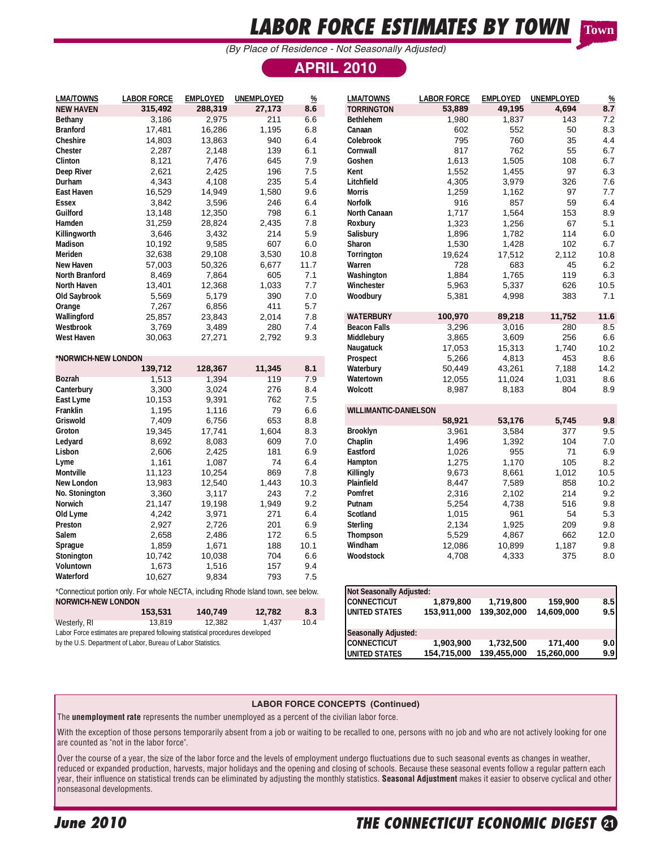# **LABOR FORCE ESTIMATES BY TOWN**

**Town**

*(By Place of Residence - Not Seasonally Adjusted)*

## **APRIL 2010**

| <b>LMA/TOWNS</b>          | <b>LABOR FORCE</b>                                                                  | <b>EMPLOYED</b>  | <b>UNEMPLOYED</b> | $\frac{\%}{\sqrt{2}}$ | <b>LMA/TOWNS</b>             | <b>LABOR FORCE</b> | <b>EMPLOYED</b> | UNEMPLOYED | %           |
|---------------------------|-------------------------------------------------------------------------------------|------------------|-------------------|-----------------------|------------------------------|--------------------|-----------------|------------|-------------|
| <b>NEW HAVEN</b>          | 315,492                                                                             | 288,319          | 27,173            | 8.6                   | <b>TORRINGTON</b>            | 53,889             | 49,195          | 4,694      | 8.7         |
| Bethany                   | 3,186                                                                               | 2,975            | 211               | 6.6                   | Bethlehem                    | 1,980              | 1,837           | 143        | 7.2         |
| <b>Branford</b>           | 17,481                                                                              | 16,286           | 1,195             | 6.8                   | Canaan                       | 602                | 552             | 50         | 8.3         |
| Cheshire                  | 14,803                                                                              | 13,863           | 940               | 6.4                   | Colebrook                    | 795                | 760             | 35         | 4.4         |
| Chester                   | 2,287                                                                               | 2,148            | 139               | 6.1                   | Cornwall                     | 817                | 762             | 55         | 6.7         |
| Clinton                   | 8,121                                                                               | 7,476            | 645               | 7.9                   | Goshen                       | 1,613              | 1,505           | 108        | 6.7         |
| Deep River                | 2,621                                                                               | 2,425            | 196               | 7.5                   | Kent                         | 1,552              | 1,455           | 97         | 6.3         |
| Durham                    | 4,343                                                                               | 4,108            | 235               | 5.4                   | Litchfield                   | 4,305              | 3,979           | 326        | 7.6         |
| East Haven                | 16,529                                                                              | 14,949           | 1,580             | 9.6                   | <b>Morris</b>                | 1,259              | 1,162           | 97         | 7.7         |
| Essex                     | 3,842                                                                               | 3,596            | 246               | 6.4                   | Norfolk                      | 916                | 857             | 59         | 6.4         |
| Guilford                  | 13,148                                                                              | 12,350           | 798               | 6.1                   | North Canaan                 | 1,717              | 1,564           | 153        | 8.9         |
| Hamden                    | 31,259                                                                              | 28,824           | 2,435             | 7.8                   | Roxbury                      | 1,323              | 1,256           | 67         | 5.1         |
| Killingworth              | 3,646                                                                               | 3,432            | 214               | 5.9                   | Salisbury                    | 1,896              | 1,782           | 114        | 6.0         |
| Madison                   | 10,192                                                                              | 9,585            | 607               | 6.0                   | Sharon                       | 1,530              | 1,428           | 102        | 6.7         |
| Meriden                   | 32,638                                                                              | 29,108           | 3,530             | 10.8                  | Torrington                   | 19,624             | 17,512          | 2,112      | 10.8        |
| New Haven                 | 57,003                                                                              | 50,326           | 6,677             | 11.7                  | Warren                       | 728                | 683             | 45         | 6.2         |
| North Branford            | 8,469                                                                               | 7,864            | 605               | 7.1                   | Washington                   | 1,884              | 1,765           | 119        | 6.3         |
| North Haven               | 13,401                                                                              | 12,368           | 1,033             | 7.7                   | Winchester                   | 5,963              | 5,337           | 626        | 10.5        |
| Old Saybrook              | 5,569                                                                               | 5,179            | 390               | 7.0                   | Woodbury                     | 5,381              | 4,998           | 383        | 7.1         |
| Orange                    | 7,267                                                                               | 6,856            | 411               | 5.7                   |                              |                    |                 |            |             |
| Wallingford               | 25,857                                                                              | 23,843           | 2,014             | 7.8                   | <b>WATERBURY</b>             | 100,970            | 89,218          | 11,752     | 11.6        |
| Westbrook                 | 3,769                                                                               | 3,489            | 280               | 7.4                   | <b>Beacon Falls</b>          | 3,296              | 3,016           | 280        | 8.5         |
| <b>West Haven</b>         | 30,063                                                                              | 27,271           | 2,792             | 9.3                   | Middlebury                   | 3,865              | 3,609           | 256        | 6.6         |
|                           |                                                                                     |                  |                   |                       | Naugatuck                    | 17,053             | 15,313          | 1,740      | 10.2        |
| *NORWICH-NEW LONDON       |                                                                                     |                  |                   |                       | Prospect                     | 5,266              | 4,813           | 453        | 8.6         |
|                           | 139,712                                                                             | 128,367          | 11,345            | 8.1                   | Waterbury                    | 50,449             | 43,261          | 7,188      | 14.2        |
| Bozrah                    | 1,513                                                                               | 1,394            | 119               | 7.9                   | Watertown                    | 12,055             | 11,024          | 1,031      | 8.6         |
| Canterbury                | 3,300                                                                               | 3,024            | 276               | 8.4                   | Wolcott                      | 8,987              | 8,183           | 804        | 8.9         |
| East Lyme                 | 10,153                                                                              | 9,391            | 762               | 7.5                   |                              |                    |                 |            |             |
| Franklin                  | 1,195                                                                               | 1,116            | 79                | 6.6                   | <b>WILLIMANTIC-DANIELSON</b> |                    |                 |            |             |
| Griswold                  | 7,409                                                                               | 6,756            | 653               | 8.8                   |                              | 58,921             | 53,176          | 5,745      | 9.8         |
| Groton                    | 19,345                                                                              | 17,741           | 1,604             | 8.3                   | Brooklyn                     | 3,961              | 3,584           | 377        | 9.5         |
| Ledyard                   | 8,692                                                                               | 8,083            | 609               | 7.0                   | Chaplin                      | 1,496              | 1,392           | 104        | 7.0         |
|                           | 2,606                                                                               | 2,425            | 181               | 6.9                   | Eastford                     | 1,026              | 955             | 71         | 6.9         |
| Lisbon                    |                                                                                     | 1,087            | 74                | 6.4                   |                              | 1,275              | 1,170           | 105        | 8.2         |
| Lyme                      | 1,161<br>11,123                                                                     |                  | 869               | 7.8                   | Hampton                      | 9,673              | 8,661           | 1,012      | 10.5        |
| Montville<br>New London   | 13,983                                                                              | 10,254<br>12,540 | 1,443             | 10.3                  | Killingly<br>Plainfield      | 8,447              |                 | 858        | 10.2        |
|                           |                                                                                     |                  |                   |                       |                              |                    | 7,589           |            |             |
| No. Stonington            | 3,360                                                                               | 3,117            | 243               | 7.2<br>9.2            | Pomfret<br>Putnam            | 2,316              | 2,102           | 214<br>516 | 9.2<br>9.8  |
| Norwich                   | 21,147<br>4,242                                                                     | 19,198           | 1,949<br>271      |                       |                              | 5,254              | 4,738<br>961    | 54         | 5.3         |
| Old Lyme                  |                                                                                     | 3,971            |                   | 6.4                   | Scotland                     | 1,015              |                 |            |             |
| Preston<br>Salem          | 2,927                                                                               | 2,726            | 201<br>172        | 6.9                   | Sterling                     | 2,134              | 1,925           | 209<br>662 | 9.8<br>12.0 |
|                           | 2,658                                                                               | 2,486            | 188               | 6.5                   | Thompson                     | 5,529              | 4,867           |            |             |
| Sprague                   | 1,859                                                                               | 1,671            |                   | 10.1                  | Windham                      | 12,086             | 10,899          | 1,187      | 9.8         |
| Stonington                | 10,742                                                                              | 10,038           | 704               | 6.6                   | Woodstock                    | 4,708              | 4,333           | 375        | 8.0         |
| Voluntown                 | 1,673                                                                               | 1,516            | 157               | 9.4                   |                              |                    |                 |            |             |
| Waterford                 | 10,627                                                                              | 9,834            | 793               | 7.5                   |                              |                    |                 |            |             |
|                           | *Connecticut portion only. For whole NECTA, including Rhode Island town, see below. |                  |                   |                       | Not Seasonally Adjusted:     |                    |                 |            |             |
| <b>NORWICH-NEW LONDON</b> |                                                                                     |                  |                   |                       | <b>CONNECTICUT</b>           | 1,879,800          | 1,719,800       | 159,900    | 8.5         |
|                           | 153,531                                                                             | 140,749          | 12,782            | 8.3                   | UNITED STATES                | 153,911,000        | 139,302,000     | 14,609,000 | 9.5         |
| Westerly, RI              | 13,819                                                                              | 12,382           | 1,437             | 10.4                  |                              |                    |                 |            |             |
|                           | Labor Force estimates are prepared following statistical procedures developed       |                  |                   |                       | Seasonally Adjusted:         |                    |                 |            |             |
|                           | by the U.S. Department of Labor, Bureau of Labor Statistics                         |                  |                   |                       | <b>CONNECTICUT</b>           | 1,903,900          | 1,732,500       | 171,400    | 9.0         |

### **LABOR FORCE CONCEPTS (Continued)**

The **unemployment rate** represents the number unemployed as a percent of the civilian labor force.

With the exception of those persons temporarily absent from a job or waiting to be recalled to one, persons with no job and who are not actively looking for one are counted as "not in the labor force".

Over the course of a year, the size of the labor force and the levels of employment undergo fluctuations due to such seasonal events as changes in weather, reduced or expanded production, harvests, major holidays and the opening and closing of schools. Because these seasonal events follow a regular pattern each year, their influence on statistical trends can be eliminated by adjusting the monthly statistics. **Seasonal Adjustment** makes it easier to observe cyclical and other nonseasonal developments.

**UNITED STATES 154,715,000 139,455,000 15,260,000 9.9**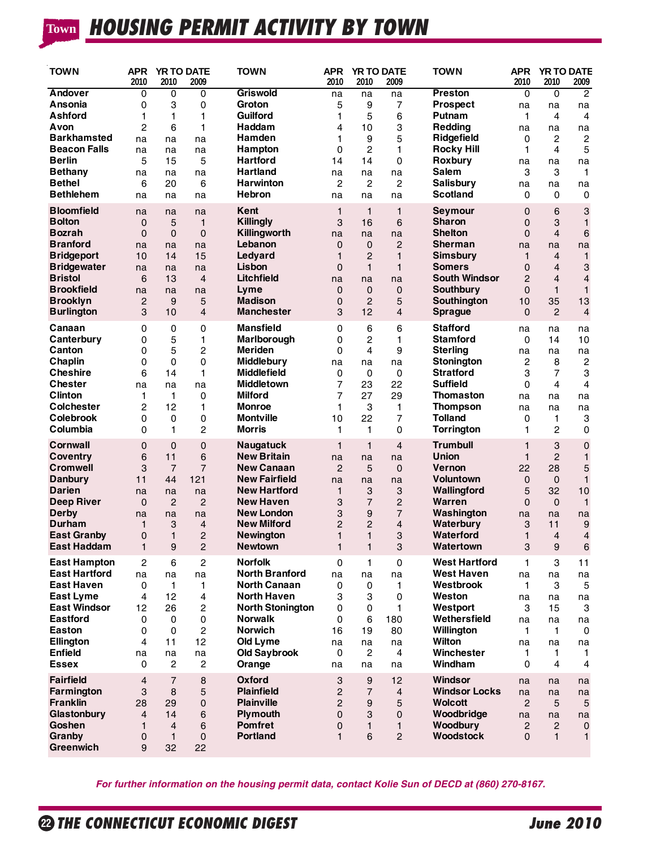# **HOUSING PERMIT ACTIVITY BY TOWN Town**

| <b>TOWN</b>                                                                                              | <b>APR</b><br>2010                                       | 2010                                                                    | <b>YR TO DATE</b><br>2009        | <b>TOWN</b>                                                                         | APR<br>2010                                                    | 2010                                                              | <b>YR TO DATE</b><br>2009                                        | <b>TOWN</b>                                                                              | <b>APR</b><br>2010                                             | <b>YR TO DATE</b><br>2010                             | 2009                                               |
|----------------------------------------------------------------------------------------------------------|----------------------------------------------------------|-------------------------------------------------------------------------|----------------------------------|-------------------------------------------------------------------------------------|----------------------------------------------------------------|-------------------------------------------------------------------|------------------------------------------------------------------|------------------------------------------------------------------------------------------|----------------------------------------------------------------|-------------------------------------------------------|----------------------------------------------------|
| Andover                                                                                                  | 0                                                        | $\overline{0}$                                                          | 0                                | <b>Griswold</b>                                                                     | na                                                             | na                                                                | na                                                               | Preston                                                                                  | $\overline{0}$                                                 | 0                                                     | $\overline{2}$                                     |
| Ansonia                                                                                                  | $\Omega$                                                 | 3                                                                       | 0                                | Groton                                                                              | 5                                                              | 9                                                                 | 7                                                                | <b>Prospect</b>                                                                          | na                                                             | na                                                    | na                                                 |
| Ashford                                                                                                  | 1                                                        | 1                                                                       | 1                                | Guilford                                                                            | 1                                                              | 5                                                                 | 6                                                                | Putnam                                                                                   | 1                                                              | 4                                                     | 4                                                  |
| Avon                                                                                                     | 2                                                        | 6                                                                       | 1                                | Haddam                                                                              | 4                                                              | 10                                                                | 3                                                                | <b>Redding</b>                                                                           | na                                                             | na                                                    | na                                                 |
| <b>Barkhamsted</b>                                                                                       | na                                                       | na                                                                      | na                               | Hamden                                                                              | 1                                                              | 9                                                                 | 5                                                                | Ridgefield                                                                               | 0                                                              | $\overline{2}$                                        | $\overline{c}$                                     |
| <b>Beacon Falls</b>                                                                                      | na                                                       | na                                                                      | na                               | Hampton                                                                             | 0                                                              | 2                                                                 | 1                                                                | <b>Rocky Hill</b>                                                                        | 1                                                              | 4                                                     | $\overline{5}$                                     |
| <b>Berlin</b>                                                                                            | 5                                                        | 15                                                                      | 5                                | <b>Hartford</b>                                                                     | 14                                                             | 14                                                                | 0                                                                | Roxbury                                                                                  | na                                                             | na                                                    | na                                                 |
| <b>Bethany</b>                                                                                           | na                                                       | na                                                                      | na                               | <b>Hartland</b>                                                                     | na                                                             | na                                                                | na                                                               | <b>Salem</b>                                                                             | 3                                                              | 3                                                     | $\mathbf{1}$                                       |
| <b>Bethel</b>                                                                                            | 6                                                        | 20                                                                      | 6                                | <b>Harwinton</b>                                                                    | $\overline{c}$                                                 | $\mathbf{2}$                                                      | 2                                                                | <b>Salisbury</b>                                                                         | na                                                             | na                                                    | na                                                 |
| <b>Bethlehem</b>                                                                                         | na                                                       | na                                                                      | na                               | Hebron                                                                              | na                                                             | na                                                                | na                                                               | <b>Scotland</b>                                                                          | 0                                                              | 0                                                     | 0                                                  |
| <b>Bloomfield</b>                                                                                        | na                                                       | na                                                                      | na                               | Kent                                                                                | $\mathbf{1}$                                                   | $\mathbf{1}$                                                      | $\mathbf{1}$                                                     | Seymour                                                                                  | $\mathbf 0$                                                    | 6                                                     | 3                                                  |
| <b>Bolton</b>                                                                                            | $\mathbf{0}$                                             | 5                                                                       | $\mathbf{1}$                     | <b>Killingly</b>                                                                    | 3                                                              | 16                                                                | 6                                                                | <b>Sharon</b>                                                                            | $\mathbf 0$                                                    | 3                                                     | $\mathbf{1}$                                       |
| <b>Bozrah</b>                                                                                            | $\Omega$                                                 | $\mathbf 0$                                                             | 0                                | Killingworth                                                                        | na                                                             | na                                                                | na                                                               | <b>Shelton</b>                                                                           | $\Omega$                                                       | $\overline{4}$                                        | 6                                                  |
| <b>Branford</b>                                                                                          | na                                                       | na                                                                      | na                               | Lebanon                                                                             | $\mathbf 0$                                                    | $\mathbf 0$                                                       | $\overline{2}$                                                   | <b>Sherman</b>                                                                           | na                                                             | na                                                    | na                                                 |
| <b>Bridgeport</b>                                                                                        | 10                                                       | 14                                                                      | 15                               | Ledyard                                                                             | $\mathbf{1}$                                                   | $\overline{2}$                                                    | $\mathbf{1}$                                                     | <b>Simsbury</b>                                                                          | $\mathbf{1}$                                                   | $\overline{4}$                                        | $\mathbf{1}$                                       |
| <b>Bridgewater</b>                                                                                       | na                                                       | na                                                                      | na                               | Lisbon                                                                              | $\mathbf 0$                                                    | $\mathbf{1}$                                                      | $\mathbf{1}$                                                     | <b>Somers</b>                                                                            | $\mathbf 0$                                                    | $\overline{4}$                                        | 3                                                  |
| <b>Bristol</b>                                                                                           | 6                                                        | 13                                                                      | 4                                | Litchfield                                                                          | na                                                             | na                                                                | na                                                               | <b>South Windsor</b>                                                                     | $\overline{2}$                                                 | $\overline{4}$                                        | $\overline{4}$                                     |
| <b>Brookfield</b>                                                                                        | na                                                       | na                                                                      | na                               | Lyme                                                                                | $\mathbf 0$                                                    | $\mathbf 0$                                                       | 0                                                                | <b>Southbury</b>                                                                         | $\Omega$                                                       | $\mathbf{1}$                                          | $\mathbf{1}$                                       |
| <b>Brooklyn</b>                                                                                          | $\mathbf{2}$                                             | 9                                                                       | 5                                | <b>Madison</b>                                                                      | $\mathbf 0$                                                    | $\overline{2}$                                                    | 5                                                                | Southington                                                                              | 10                                                             | 35                                                    | 13                                                 |
| <b>Burlington</b>                                                                                        | 3                                                        | 10                                                                      | 4                                | <b>Manchester</b>                                                                   | 3                                                              | 12                                                                | $\overline{4}$                                                   | <b>Sprague</b>                                                                           | $\Omega$                                                       | $\overline{2}$                                        | $\overline{4}$                                     |
| Canaan                                                                                                   | 0                                                        | $\pmb{0}$                                                               | 0                                | <b>Mansfield</b>                                                                    | 0                                                              | 6                                                                 | 6                                                                | <b>Stafford</b>                                                                          | na                                                             | na                                                    | na                                                 |
| Canterbury                                                                                               | 0                                                        | 5                                                                       | 1                                | Marlborough                                                                         | 0                                                              | 2                                                                 | 1                                                                | <b>Stamford</b>                                                                          | $\Omega$                                                       | 14                                                    | 10                                                 |
| Canton                                                                                                   | 0                                                        | 5                                                                       | 2                                | <b>Meriden</b>                                                                      | 0                                                              | 4                                                                 | 9                                                                | <b>Sterling</b>                                                                          | na                                                             | na                                                    | na                                                 |
| Chaplin                                                                                                  | $\mathbf 0$                                              | $\mathbf 0$                                                             | 0                                | Middlebury                                                                          | na                                                             | na                                                                | na                                                               | <b>Stonington</b>                                                                        | $\overline{c}$                                                 | 8                                                     | $\overline{c}$                                     |
| <b>Cheshire</b>                                                                                          | 6                                                        | 14                                                                      | 1                                | <b>Middlefield</b>                                                                  | 0                                                              | 0                                                                 | 0                                                                | <b>Stratford</b>                                                                         | 3                                                              | $\overline{7}$                                        | 3                                                  |
| <b>Chester</b>                                                                                           | na                                                       | na                                                                      | na                               | <b>Middletown</b>                                                                   | $\overline{7}$                                                 | 23                                                                | 22                                                               | <b>Suffield</b>                                                                          | 0                                                              | $\overline{4}$                                        | 4                                                  |
| <b>Clinton</b>                                                                                           | 1                                                        | $\mathbf{1}$                                                            | 0                                | <b>Milford</b>                                                                      | 7                                                              | 27                                                                | 29                                                               | <b>Thomaston</b>                                                                         | na                                                             | na                                                    | na                                                 |
| <b>Colchester</b>                                                                                        | 2                                                        | 12                                                                      | 1                                | <b>Monroe</b>                                                                       | 1                                                              | 3                                                                 | 1                                                                | <b>Thompson</b>                                                                          | na                                                             | na                                                    | na                                                 |
| <b>Colebrook</b>                                                                                         | 0                                                        | 0                                                                       | 0                                | <b>Montville</b>                                                                    | 10                                                             | 22                                                                | 7                                                                | <b>Tolland</b>                                                                           | 0                                                              | 1                                                     | 3                                                  |
| Columbia                                                                                                 | $\Omega$                                                 | $\mathbf{1}$                                                            | 2                                | <b>Morris</b>                                                                       | 1                                                              | 1                                                                 | 0                                                                | <b>Torrington</b>                                                                        | 1                                                              | $\overline{2}$                                        | 0                                                  |
| Cornwall                                                                                                 | $\Omega$                                                 | $\Omega$                                                                | 0                                | Naugatuck                                                                           | $\mathbf{1}$                                                   | $\mathbf{1}$                                                      | 4                                                                | <b>Trumbull</b>                                                                          | $\mathbf{1}$                                                   | 3                                                     | 0                                                  |
| <b>Coventry</b>                                                                                          | 6                                                        | 11                                                                      | 6                                | <b>New Britain</b>                                                                  | na                                                             | na                                                                | na                                                               | Union                                                                                    | $\mathbf{1}$                                                   | $\overline{2}$                                        | $\mathbf{1}$                                       |
| <b>Cromwell</b>                                                                                          | 3                                                        | $\overline{7}$                                                          | $\overline{7}$                   | <b>New Canaan</b>                                                                   | $\overline{2}$                                                 | 5                                                                 | $\mathbf 0$                                                      | <b>Vernon</b>                                                                            | 22                                                             | 28                                                    | 5                                                  |
| <b>Danbury</b>                                                                                           | 11                                                       | 44                                                                      | 121                              | <b>New Fairfield</b>                                                                | na                                                             | na                                                                | na                                                               | Voluntown                                                                                | 0                                                              | $\mathbf 0$                                           | $\mathbf{1}$                                       |
| <b>Darien</b>                                                                                            | na                                                       | na                                                                      | na                               | <b>New Hartford</b>                                                                 | $\mathbf{1}$                                                   | 3                                                                 | 3                                                                | Wallingford                                                                              | 5                                                              | 32                                                    | 10                                                 |
| <b>Deep River</b>                                                                                        | $\mathbf{0}$                                             | $\overline{2}$                                                          | $\overline{2}$                   | <b>New Haven</b>                                                                    | 3                                                              | $\overline{7}$                                                    | $\overline{2}$                                                   | Warren                                                                                   | $\Omega$                                                       | $\mathbf 0$                                           | $\mathbf{1}$                                       |
| <b>Derby</b>                                                                                             | na                                                       | na                                                                      | na                               | <b>New London</b>                                                                   | 3                                                              | 9                                                                 | $\overline{7}$                                                   | Washington                                                                               | na                                                             | na                                                    | na                                                 |
| Durham                                                                                                   | 1                                                        | 3                                                                       | 4                                | <b>New Milford</b>                                                                  | 2                                                              | $\overline{2}$                                                    | 4                                                                | Waterbury                                                                                | 3                                                              | 11                                                    | $\boldsymbol{9}$                                   |
| <b>East Granby</b>                                                                                       | $\Omega$                                                 | $\mathbf{1}$                                                            | $\overline{2}$                   | <b>Newington</b>                                                                    | 1                                                              | $\mathbf{1}$                                                      | 3                                                                | Waterford                                                                                | 1                                                              | $\overline{4}$                                        | $\overline{4}$                                     |
| East Haddam                                                                                              | 1                                                        | 9                                                                       | 2                                | <b>Newtown</b>                                                                      | 1                                                              | $\mathbf{1}$                                                      | 3                                                                | Watertown                                                                                | 3                                                              | 9                                                     | $\,6$                                              |
| <b>East Hampton</b>                                                                                      | $\overline{c}$                                           | 6                                                                       | $\overline{c}$                   | <b>Norfolk</b>                                                                      | 0                                                              | $\mathbf{1}$                                                      | $\mathsf 0$                                                      | <b>West Hartford</b>                                                                     | $\mathbf{1}$                                                   | 3                                                     | 11                                                 |
| <b>East Hartford</b>                                                                                     | na                                                       | na                                                                      | na                               | <b>North Branford</b>                                                               | na                                                             | na                                                                | na                                                               | <b>West Haven</b>                                                                        | na                                                             | na                                                    | na                                                 |
| <b>East Haven</b>                                                                                        | 0                                                        | $\mathbf{1}$                                                            | 1                                | <b>North Canaan</b>                                                                 | 0                                                              | 0                                                                 | 1                                                                | Westbrook                                                                                | $\mathbf{1}$                                                   | 3                                                     | 5                                                  |
| <b>East Lyme</b>                                                                                         | 4                                                        | 12                                                                      | 4                                | <b>North Haven</b>                                                                  | 3                                                              | $\ensuremath{\mathsf{3}}$                                         | 0                                                                | Weston                                                                                   | na                                                             | na                                                    | na                                                 |
| <b>East Windsor</b>                                                                                      | 12                                                       | 26                                                                      | 2                                | <b>North Stonington</b>                                                             | 0                                                              | 0                                                                 | 1                                                                | Westport                                                                                 | 3                                                              | 15                                                    | 3                                                  |
| <b>Eastford</b>                                                                                          | $\mathbf 0$                                              | $\mathbf 0$                                                             | 0                                | <b>Norwalk</b>                                                                      | 0                                                              | 6                                                                 | 180                                                              | Wethersfield                                                                             | na                                                             | na                                                    | na                                                 |
| Easton                                                                                                   | 0                                                        | $\mathbf 0$                                                             | 2                                | <b>Norwich</b>                                                                      | 16                                                             | 19                                                                | 80                                                               | Willington                                                                               | $\mathbf{1}$                                                   | $\mathbf{1}$                                          | 0                                                  |
| Ellington                                                                                                | 4                                                        | 11                                                                      | 12                               | Old Lyme                                                                            | na                                                             | na                                                                | na                                                               | Wilton                                                                                   | na                                                             | na                                                    | na                                                 |
| <b>Enfield</b>                                                                                           | na                                                       | na                                                                      | na                               | <b>Old Saybrook</b>                                                                 | $\mathbf 0$                                                    | $\overline{2}$                                                    | 4                                                                | Winchester                                                                               | 1                                                              | $\mathbf{1}$                                          | $\mathbf{1}$                                       |
| <b>Essex</b>                                                                                             | $\Omega$                                                 | $\overline{c}$                                                          | 2                                | Orange                                                                              | na                                                             | na                                                                | na                                                               | Windham                                                                                  | 0                                                              | $\overline{4}$                                        | $\overline{4}$                                     |
| <b>Fairfield</b><br>Farmington<br><b>Franklin</b><br>Glastonbury<br>Goshen<br>Granby<br><b>Greenwich</b> | 4<br>3<br>28<br>$\overline{4}$<br>$\mathbf{1}$<br>0<br>9 | $\overline{7}$<br>8<br>29<br>14<br>$\overline{4}$<br>$\mathbf{1}$<br>32 | 8<br>5<br>0<br>6<br>6<br>0<br>22 | Oxford<br><b>Plainfield</b><br><b>Plainville</b><br>Plymouth<br>Pomfret<br>Portland | 3<br>$\overline{c}$<br>$\overline{c}$<br>$\mathbf 0$<br>0<br>1 | 9<br>$\overline{7}$<br>$\boldsymbol{9}$<br>3<br>$\mathbf{1}$<br>6 | 12<br>$\overline{4}$<br>5<br>0<br>$\mathbf{1}$<br>$\overline{c}$ | Windsor<br><b>Windsor Locks</b><br><b>Wolcott</b><br>Woodbridge<br>Woodbury<br>Woodstock | na<br>na<br>$\overline{2}$<br>na<br>$\overline{c}$<br>$\Omega$ | na<br>na<br>5<br>na<br>$\overline{c}$<br>$\mathbf{1}$ | na<br>na<br>5<br>na<br>$\mathbf 0$<br>$\mathbf{1}$ |

*For further information on the housing permit data, contact Kolie Sun of DECD at (860) 270-8167.*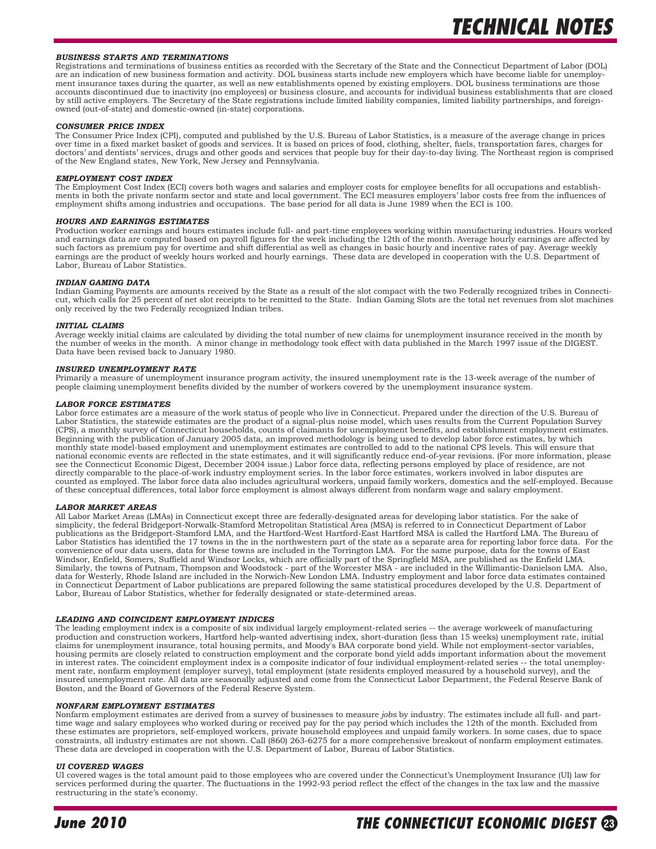#### *BUSINESS STARTS AND TERMINATIONS*

Registrations and terminations of business entities as recorded with the Secretary of the State and the Connecticut Department of Labor (DOL) are an indication of new business formation and activity. DOL business starts include new employers which have become liable for unemployment insurance taxes during the quarter, as well as new establishments opened by existing employers. DOL business terminations are those accounts discontinued due to inactivity (no employees) or business closure, and accounts for individual business establishments that are closed by still active employers. The Secretary of the State registrations include limited liability companies, limited liability partnerships, and foreignowned (out-of-state) and domestic-owned (in-state) corporations.

#### *CONSUMER PRICE INDEX*

The Consumer Price Index (CPI), computed and published by the U.S. Bureau of Labor Statistics, is a measure of the average change in prices over time in a fixed market basket of goods and services. It is based on prices of food, clothing, shelter, fuels, transportation fares, charges for doctors' and dentists' services, drugs and other goods and services that people buy for their day-to-day living. The Northeast region is comprised of the New England states, New York, New Jersey and Pennsylvania.

#### *EMPLOYMENT COST INDEX*

The Employment Cost Index (ECI) covers both wages and salaries and employer costs for employee benefits for all occupations and establishments in both the private nonfarm sector and state and local government. The ECI meas employment shifts among industries and occupations. The base period for all data is June 1989 when the ECI is 100.

#### *HOURS AND EARNINGS ESTIMATES*

Production worker earnings and hours estimates include full- and part-time employees working within manufacturing industries. Hours worked and earnings data are computed based on payroll figures for the week including the 12th of the month. Average hourly earnings are affected by such factors as premium pay for overtime and shift differential as well as changes in basic hourly and incentive rates of pay. Average weekly earnings are the product of weekly hours worked and hourly earnings. These data are developed in cooperation with the U.S. Department of Labor, Bureau of Labor Statistics.

#### *INDIAN GAMING DATA*

Indian Gaming Payments are amounts received by the State as a result of the slot compact with the two Federally recognized tribes in Connecticut, which calls for 25 percent of net slot receipts to be remitted to the State. Indian Gaming Slots are the total net revenues from slot machines only received by the two Federally recognized Indian tribes.

#### *INITIAL CLAIMS*

Average weekly initial claims are calculated by dividing the total number of new claims for unemployment insurance received in the month by<br>the number of weeks in the month. A minor change in methodology took effect with d Data have been revised back to January 1980.

#### *INSURED UNEMPLOYMENT RATE*

Primarily a measure of unemployment insurance program activity, the insured unemployment rate is the 13-week average of the number of people claiming unemployment benefits divided by the number of workers covered by the unemployment insurance system.

#### *LABOR FORCE ESTIMATES*

Labor force estimates are a measure of the work status of people who live in Connecticut. Prepared under the direction of the U.S. Bureau of Labor Statistics, the statewide estimates are the product of a signal-plus noise model, which uses results from the Current Population Survey (CPS), a monthly survey of Connecticut households, counts of claimants for unemployment benefits, and establishment employment estimates. Beginning with the publication of January 2005 data, an improved methodology is being used to develop labor force estimates, by which monthly state model-based employment and unemployment estimates are controlled to add to the national CPS levels. This will ensure that national economic events are reflected in the state estimates, and it will significantly reduce end-of-year revisions. (For more information, please see the Connecticut Economic Digest, December 2004 issue.) Labor force data, reflecting persons employed by place of residence, are not directly comparable to the place-of-work industry employment series. In the labor force estimates, workers involved in labor disputes are<br>counted as employed. The labor force data also includes agricultural workers, unpaid of these conceptual differences, total labor force employment is almost always different from nonfarm wage and salary employment.

#### *LABOR MARKET AREAS*

All Labor Market Areas (LMAs) in Connecticut except three are federally-designated areas for developing labor statistics. For the sake of<br>simplicity, the federal Bridgeport-Norwalk-Stamford Metropolitan Statistical Area (M publications as the Bridgeport-Stamford LMA, and the Hartford-West Hartford-East Hartford MSA is called the Hartford LMA. The Bureau of Labor Statistics has identified the 17 towns in the in the northwestern part of the state as a separate area for reporting labor force data. For the convenience of our data users, data for these towns are included in the Torrington LMA. For the same purpose, data for the towns of East Windsor, Enfield, Somers, Suffield and Windsor Locks, which are officially part of the Springfield MSA, are published as the Enfield LMA. Similarly, the towns of Putnam, Thompson and Woodstock - part of the Worcester MSA - are included in the Willimantic-Danielson LMA. Also,<br>data for Westerly, Rhode Island are included in the Norwich-New London LMA. Industry in Connecticut Department of Labor publications are prepared following the same statistical procedures developed by the U.S. Department of Labor, Bureau of Labor Statistics, whether for federally designated or state-determined areas.

#### *LEADING AND COINCIDENT EMPLOYMENT INDICES*

The leading employment index is a composite of six individual largely employment-related series -- the average workweek of manufacturing production and construction workers, Hartford help-wanted advertising index, short-duration (less than 15 weeks) unemployment rate, initial<br>claims for unemployment insurance, total housing permits, and Moody's BAA corporat housing permits are closely related to construction employment and the corporate bond yield adds important information about the movement in interest rates. The coincident employment index is a composite indicator of four individual employment-related series -- the total unemployment rate, nonfarm employment (employer survey), total employment (state residents employed measured by a household survey), and the insured unemployment rate. All data are seasonally adjusted and come from the Connecticut Labor Department, the Federal Reserve Bank of Boston, and the Board of Governors of the Federal Reserve System.

#### *NONFARM EMPLOYMENT ESTIMATES*

Nonfarm employment estimates are derived from a survey of businesses to measure *jobs* by industry. The estimates include all full- and parttime wage and salary employees who worked during or received pay for the pay period which includes the 12th of the month. Excluded from these estimates are proprietors, self-employed workers, private household employees and unpaid family workers. In some cases, due to space constraints, all industry estimates are not shown. Call (860) 263-6275 for a more comprehensive breakout of nonfarm employment estimates. These data are developed in cooperation with the U.S. Department of Labor, Bureau of Labor Statistics.

#### *UI COVERED WAGES*

UI covered wages is the total amount paid to those employees who are covered under the Connecticut's Unemployment Insurance (UI) law for services performed during the quarter. The fluctuations in the 1992-93 period reflect the effect of the changes in the tax law and the massive restructuring in the state's economy.